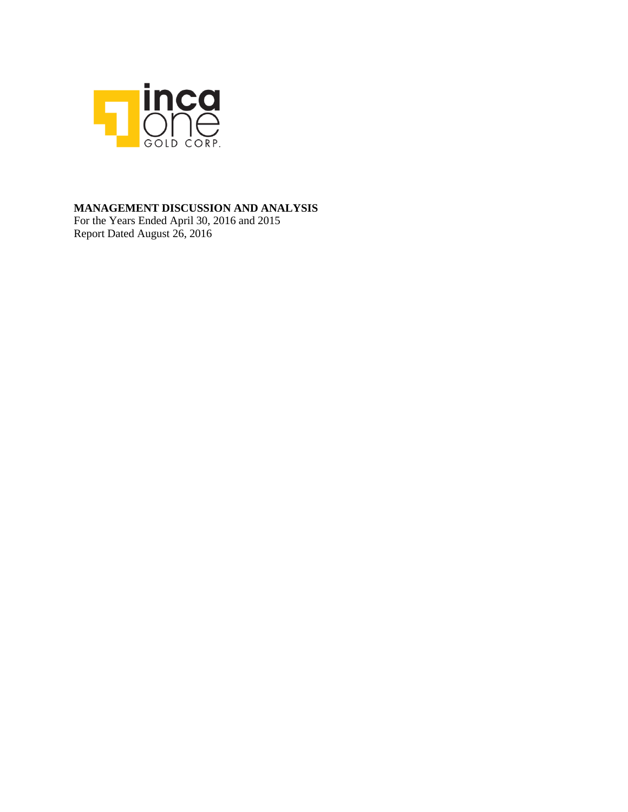

### **MANAGEMENT DISCUSSION AND ANALYSIS**

For the Years Ended April 30, 2016 and 2015 Report Dated August 26, 2016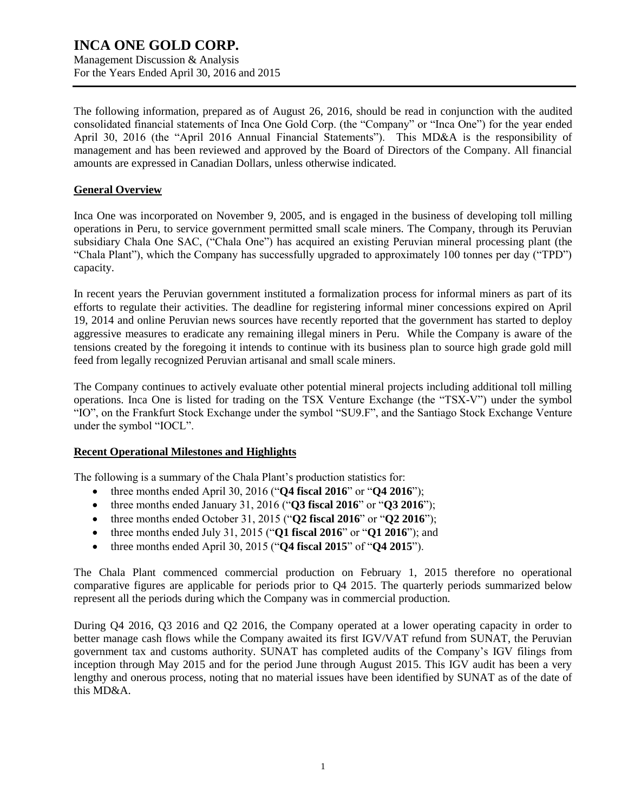Management Discussion & Analysis For the Years Ended April 30, 2016 and 2015

The following information, prepared as of August 26, 2016, should be read in conjunction with the audited consolidated financial statements of Inca One Gold Corp. (the "Company" or "Inca One") for the year ended April 30, 2016 (the "April 2016 Annual Financial Statements"). This MD&A is the responsibility of management and has been reviewed and approved by the Board of Directors of the Company. All financial amounts are expressed in Canadian Dollars, unless otherwise indicated.

### **General Overview**

Inca One was incorporated on November 9, 2005, and is engaged in the business of developing toll milling operations in Peru, to service government permitted small scale miners. The Company, through its Peruvian subsidiary Chala One SAC, ("Chala One") has acquired an existing Peruvian mineral processing plant (the "Chala Plant"), which the Company has successfully upgraded to approximately 100 tonnes per day ("TPD") capacity.

In recent years the Peruvian government instituted a formalization process for informal miners as part of its efforts to regulate their activities. The deadline for registering informal miner concessions expired on April 19, 2014 and online Peruvian news sources have recently reported that the government has started to deploy aggressive measures to eradicate any remaining illegal miners in Peru. While the Company is aware of the tensions created by the foregoing it intends to continue with its business plan to source high grade gold mill feed from legally recognized Peruvian artisanal and small scale miners.

The Company continues to actively evaluate other potential mineral projects including additional toll milling operations. Inca One is listed for trading on the TSX Venture Exchange (the "TSX-V") under the symbol "IO", on the Frankfurt Stock Exchange under the symbol "SU9.F", and the Santiago Stock Exchange Venture under the symbol "IOCL".

### **Recent Operational Milestones and Highlights**

The following is a summary of the Chala Plant's production statistics for:

- three months ended April 30, 2016 ("**Q4 fiscal 2016**" or "**Q4 2016**");
- three months ended January 31, 2016 ("**Q3 fiscal 2016**" or "**Q3 2016**");
- three months ended October 31, 2015 ("**Q2 fiscal 2016**" or "**Q2 2016**");
- three months ended July 31, 2015 ("**Q1 fiscal 2016**" or "**Q1 2016**"); and
- three months ended April 30, 2015 ("**Q4 fiscal 2015**" of "**Q4 2015**").

The Chala Plant commenced commercial production on February 1, 2015 therefore no operational comparative figures are applicable for periods prior to Q4 2015. The quarterly periods summarized below represent all the periods during which the Company was in commercial production.

During Q4 2016, Q3 2016 and Q2 2016, the Company operated at a lower operating capacity in order to better manage cash flows while the Company awaited its first IGV/VAT refund from SUNAT, the Peruvian government tax and customs authority. SUNAT has completed audits of the Company's IGV filings from inception through May 2015 and for the period June through August 2015. This IGV audit has been a very lengthy and onerous process, noting that no material issues have been identified by SUNAT as of the date of this MD&A.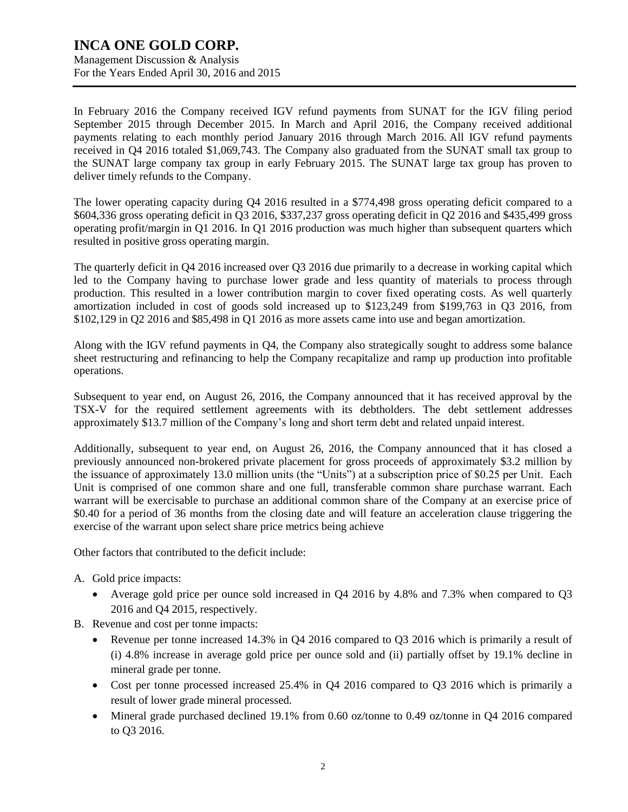Management Discussion & Analysis For the Years Ended April 30, 2016 and 2015

In February 2016 the Company received IGV refund payments from SUNAT for the IGV filing period September 2015 through December 2015. In March and April 2016, the Company received additional payments relating to each monthly period January 2016 through March 2016. All IGV refund payments received in Q4 2016 totaled \$1,069,743. The Company also graduated from the SUNAT small tax group to the SUNAT large company tax group in early February 2015. The SUNAT large tax group has proven to deliver timely refunds to the Company.

The lower operating capacity during Q4 2016 resulted in a \$774,498 gross operating deficit compared to a \$604,336 gross operating deficit in Q3 2016, \$337,237 gross operating deficit in Q2 2016 and \$435,499 gross operating profit/margin in Q1 2016. In Q1 2016 production was much higher than subsequent quarters which resulted in positive gross operating margin.

The quarterly deficit in Q4 2016 increased over Q3 2016 due primarily to a decrease in working capital which led to the Company having to purchase lower grade and less quantity of materials to process through production. This resulted in a lower contribution margin to cover fixed operating costs. As well quarterly amortization included in cost of goods sold increased up to \$123,249 from \$199,763 in Q3 2016, from \$102,129 in Q2 2016 and \$85,498 in Q1 2016 as more assets came into use and began amortization.

Along with the IGV refund payments in Q4, the Company also strategically sought to address some balance sheet restructuring and refinancing to help the Company recapitalize and ramp up production into profitable operations.

Subsequent to year end, on August 26, 2016, the Company announced that it has received approval by the TSX-V for the required settlement agreements with its debtholders. The debt settlement addresses approximately \$13.7 million of the Company's long and short term debt and related unpaid interest.

Additionally, subsequent to year end, on August 26, 2016, the Company announced that it has closed a previously announced non-brokered private placement for gross proceeds of approximately \$3.2 million by the issuance of approximately 13.0 million units (the "Units") at a subscription price of \$0.25 per Unit. Each Unit is comprised of one common share and one full, transferable common share purchase warrant. Each warrant will be exercisable to purchase an additional common share of the Company at an exercise price of \$0.40 for a period of 36 months from the closing date and will feature an acceleration clause triggering the exercise of the warrant upon select share price metrics being achieve

Other factors that contributed to the deficit include:

- A. Gold price impacts:
	- Average gold price per ounce sold increased in Q4 2016 by 4.8% and 7.3% when compared to Q3 2016 and Q4 2015, respectively.
- B. Revenue and cost per tonne impacts:
	- Revenue per tonne increased 14.3% in Q4 2016 compared to Q3 2016 which is primarily a result of (i) 4.8% increase in average gold price per ounce sold and (ii) partially offset by 19.1% decline in mineral grade per tonne.
	- Cost per tonne processed increased 25.4% in Q4 2016 compared to Q3 2016 which is primarily a result of lower grade mineral processed.
	- Mineral grade purchased declined 19.1% from 0.60 oz/tonne to 0.49 oz/tonne in Q4 2016 compared to Q3 2016.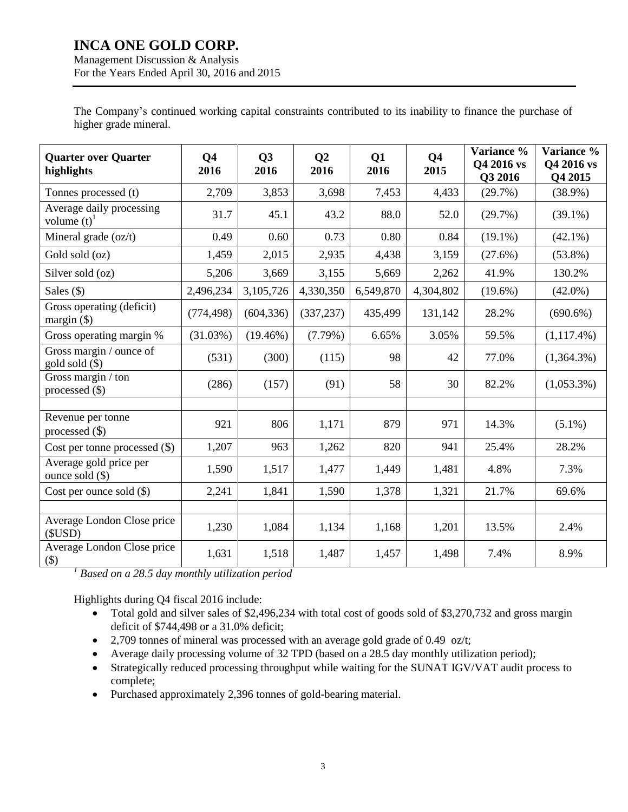Management Discussion & Analysis For the Years Ended April 30, 2016 and 2015

The Company's continued working capital constraints contributed to its inability to finance the purchase of higher grade mineral.

| <b>Quarter over Quarter</b><br>highlights             | Q <sub>4</sub><br>2016 | Q3<br>2016  | Q <sub>2</sub><br>2016 | Q1<br>2016 | Q <sub>4</sub><br>2015 | Variance %<br>Q4 2016 vs<br>Q3 2016 | Variance %<br>Q4 2016 vs<br>Q4 2015 |
|-------------------------------------------------------|------------------------|-------------|------------------------|------------|------------------------|-------------------------------------|-------------------------------------|
| Tonnes processed (t)                                  | 2,709                  | 3,853       | 3,698                  | 7,453      | 4,433                  | (29.7%)                             | $(38.9\%)$                          |
| Average daily processing<br>volume $(t)$ <sup>1</sup> | 31.7                   | 45.1        | 43.2                   | 88.0       | 52.0                   | (29.7%)                             | $(39.1\%)$                          |
| Mineral grade (oz/t)                                  | 0.49                   | 0.60        | 0.73                   | 0.80       | 0.84                   | $(19.1\%)$                          | $(42.1\%)$                          |
| Gold sold (oz)                                        | 1,459                  | 2,015       | 2,935                  | 4,438      | 3,159                  | $(27.6\%)$                          | $(53.8\%)$                          |
| Silver sold (oz)                                      | 5,206                  | 3,669       | 3,155                  | 5,669      | 2,262                  | 41.9%                               | 130.2%                              |
| Sales $($ )                                           | 2,496,234              | 3,105,726   | 4,330,350              | 6,549,870  | 4,304,802              | $(19.6\%)$                          | $(42.0\%)$                          |
| Gross operating (deficit)<br>margin $(\$)$            | (774, 498)             | (604, 336)  | (337, 237)             | 435,499    | 131,142                | 28.2%                               | $(690.6\%)$                         |
| Gross operating margin %                              | (31.03%)               | $(19.46\%)$ | $(7.79\%)$             | 6.65%      | 3.05%                  | 59.5%                               | $(1,117.4\%)$                       |
| Gross margin / ounce of<br>$gold$ sold $(\$)$         | (531)                  | (300)       | (115)                  | 98         | 42                     | 77.0%                               | $(1,364.3\%)$                       |
| Gross margin / ton<br>processed $(\$)$                | (286)                  | (157)       | (91)                   | 58         | 30                     | 82.2%                               | $(1,053.3\%)$                       |
|                                                       |                        |             |                        |            |                        |                                     |                                     |
| Revenue per tonne<br>processed $(\$)$                 | 921                    | 806         | 1,171                  | 879        | 971                    | 14.3%                               | $(5.1\%)$                           |
| Cost per tonne processed $(\$)$                       | 1,207                  | 963         | 1,262                  | 820        | 941                    | 25.4%                               | 28.2%                               |
| Average gold price per<br>ounce sold $(\$)$           | 1,590                  | 1,517       | 1,477                  | 1,449      | 1,481                  | 4.8%                                | 7.3%                                |
| Cost per ounce sold $(\$)$                            | 2,241                  | 1,841       | 1,590                  | 1,378      | 1,321                  | 21.7%                               | 69.6%                               |
|                                                       |                        |             |                        |            |                        |                                     |                                     |
| Average London Close price<br>(SUSD)                  | 1,230                  | 1,084       | 1,134                  | 1,168      | 1,201                  | 13.5%                               | 2.4%                                |
| Average London Close price<br>$(\$)$                  | 1,631                  | 1,518       | 1,487                  | 1,457      | 1,498                  | 7.4%                                | 8.9%                                |

*<sup>1</sup> Based on a 28.5 day monthly utilization period*

Highlights during Q4 fiscal 2016 include:

- Total gold and silver sales of \$2,496,234 with total cost of goods sold of \$3,270,732 and gross margin deficit of \$744,498 or a 31.0% deficit;
- $\bullet$  2,709 tonnes of mineral was processed with an average gold grade of 0.49 oz/t;
- Average daily processing volume of 32 TPD (based on a 28.5 day monthly utilization period);
- Strategically reduced processing throughput while waiting for the SUNAT IGV/VAT audit process to complete;
- Purchased approximately 2,396 tonnes of gold-bearing material.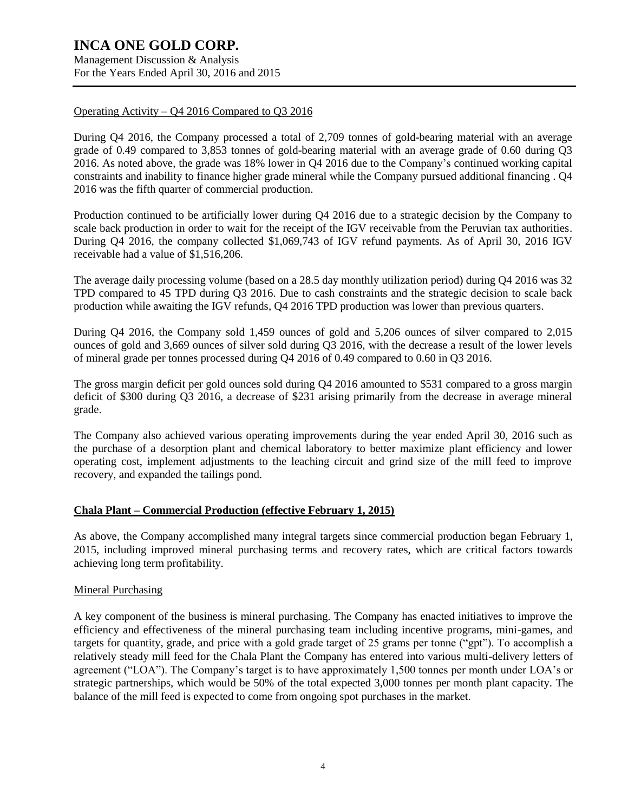Management Discussion & Analysis For the Years Ended April 30, 2016 and 2015

### Operating Activity – Q4 2016 Compared to Q3 2016

During Q4 2016, the Company processed a total of 2,709 tonnes of gold-bearing material with an average grade of 0.49 compared to 3,853 tonnes of gold-bearing material with an average grade of 0.60 during Q3 2016. As noted above, the grade was 18% lower in Q4 2016 due to the Company's continued working capital constraints and inability to finance higher grade mineral while the Company pursued additional financing . Q4 2016 was the fifth quarter of commercial production.

Production continued to be artificially lower during Q4 2016 due to a strategic decision by the Company to scale back production in order to wait for the receipt of the IGV receivable from the Peruvian tax authorities. During Q4 2016, the company collected \$1,069,743 of IGV refund payments. As of April 30, 2016 IGV receivable had a value of \$1,516,206.

The average daily processing volume (based on a 28.5 day monthly utilization period) during Q4 2016 was 32 TPD compared to 45 TPD during Q3 2016. Due to cash constraints and the strategic decision to scale back production while awaiting the IGV refunds, Q4 2016 TPD production was lower than previous quarters.

During Q4 2016, the Company sold 1,459 ounces of gold and 5,206 ounces of silver compared to 2,015 ounces of gold and 3,669 ounces of silver sold during Q3 2016, with the decrease a result of the lower levels of mineral grade per tonnes processed during Q4 2016 of 0.49 compared to 0.60 in Q3 2016.

The gross margin deficit per gold ounces sold during Q4 2016 amounted to \$531 compared to a gross margin deficit of \$300 during Q3 2016, a decrease of \$231 arising primarily from the decrease in average mineral grade.

The Company also achieved various operating improvements during the year ended April 30, 2016 such as the purchase of a desorption plant and chemical laboratory to better maximize plant efficiency and lower operating cost, implement adjustments to the leaching circuit and grind size of the mill feed to improve recovery, and expanded the tailings pond.

### **Chala Plant – Commercial Production (effective February 1, 2015)**

As above, the Company accomplished many integral targets since commercial production began February 1, 2015, including improved mineral purchasing terms and recovery rates, which are critical factors towards achieving long term profitability.

### Mineral Purchasing

A key component of the business is mineral purchasing. The Company has enacted initiatives to improve the efficiency and effectiveness of the mineral purchasing team including incentive programs, mini-games, and targets for quantity, grade, and price with a gold grade target of 25 grams per tonne ("gpt"). To accomplish a relatively steady mill feed for the Chala Plant the Company has entered into various multi-delivery letters of agreement ("LOA"). The Company's target is to have approximately 1,500 tonnes per month under LOA's or strategic partnerships, which would be 50% of the total expected 3,000 tonnes per month plant capacity. The balance of the mill feed is expected to come from ongoing spot purchases in the market.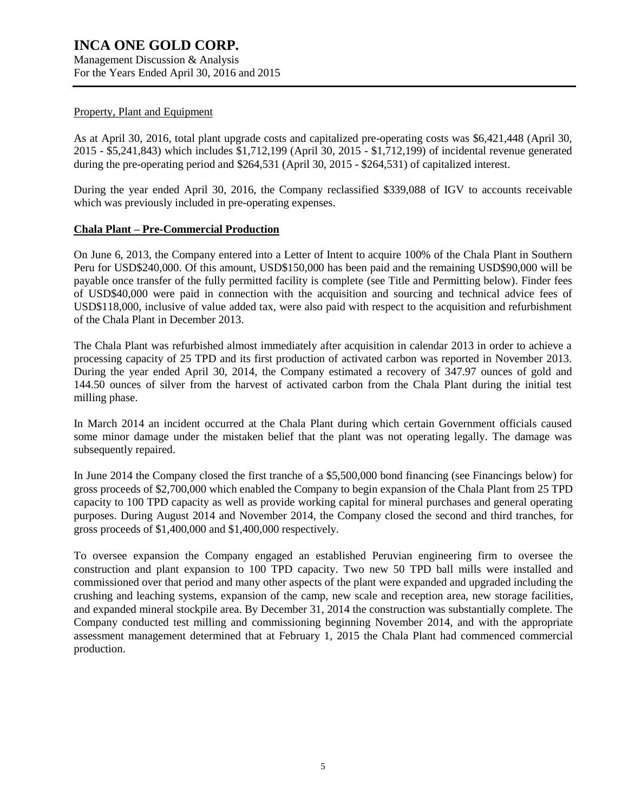#### Property, Plant and Equipment

As at April 30, 2016, total plant upgrade costs and capitalized pre-operating costs was \$6,421,448 (April 30, 2015 - \$5,241,843) which includes \$1,712,199 (April 30, 2015 - \$1,712,199) of incidental revenue generated during the pre-operating period and \$264,531 (April 30, 2015 - \$264,531) of capitalized interest.

During the year ended April 30, 2016, the Company reclassified \$339,088 of IGV to accounts receivable which was previously included in pre-operating expenses.

#### **Chala Plant – Pre-Commercial Production**

On June 6, 2013, the Company entered into a Letter of Intent to acquire 100% of the Chala Plant in Southern Peru for USD\$240,000. Of this amount, USD\$150,000 has been paid and the remaining USD\$90,000 will be payable once transfer of the fully permitted facility is complete (see Title and Permitting below). Finder fees of USD\$40,000 were paid in connection with the acquisition and sourcing and technical advice fees of USD\$118,000, inclusive of value added tax, were also paid with respect to the acquisition and refurbishment of the Chala Plant in December 2013.

The Chala Plant was refurbished almost immediately after acquisition in calendar 2013 in order to achieve a processing capacity of 25 TPD and its first production of activated carbon was reported in November 2013. During the year ended April 30, 2014, the Company estimated a recovery of 347.97 ounces of gold and 144.50 ounces of silver from the harvest of activated carbon from the Chala Plant during the initial test milling phase.

In March 2014 an incident occurred at the Chala Plant during which certain Government officials caused some minor damage under the mistaken belief that the plant was not operating legally. The damage was subsequently repaired.

In June 2014 the Company closed the first tranche of a \$5,500,000 bond financing (see Financings below) for gross proceeds of \$2,700,000 which enabled the Company to begin expansion of the Chala Plant from 25 TPD capacity to 100 TPD capacity as well as provide working capital for mineral purchases and general operating purposes. During August 2014 and November 2014, the Company closed the second and third tranches, for gross proceeds of \$1,400,000 and \$1,400,000 respectively.

To oversee expansion the Company engaged an established Peruvian engineering firm to oversee the construction and plant expansion to 100 TPD capacity. Two new 50 TPD ball mills were installed and commissioned over that period and many other aspects of the plant were expanded and upgraded including the crushing and leaching systems, expansion of the camp, new scale and reception area, new storage facilities, and expanded mineral stockpile area. By December 31, 2014 the construction was substantially complete. The Company conducted test milling and commissioning beginning November 2014, and with the appropriate assessment management determined that at February 1, 2015 the Chala Plant had commenced commercial production.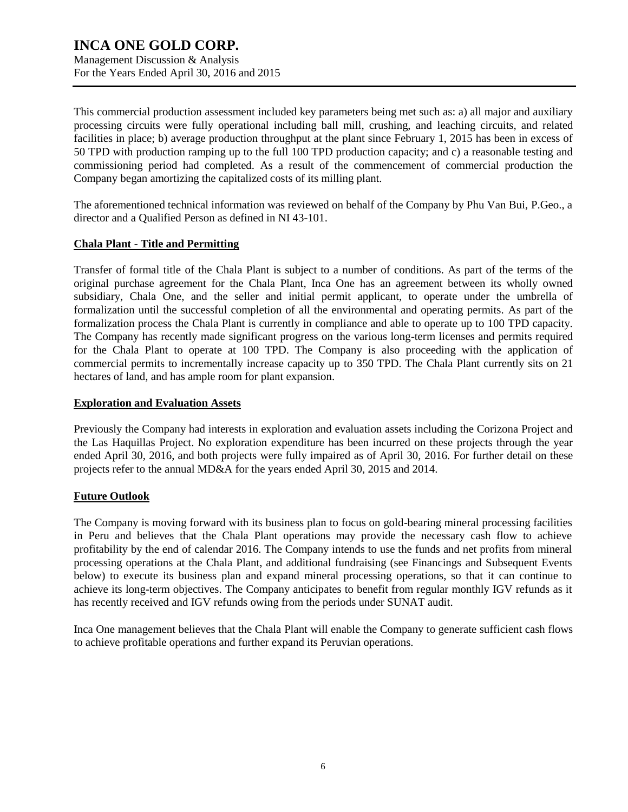This commercial production assessment included key parameters being met such as: a) all major and auxiliary processing circuits were fully operational including ball mill, crushing, and leaching circuits, and related facilities in place; b) average production throughput at the plant since February 1, 2015 has been in excess of 50 TPD with production ramping up to the full 100 TPD production capacity; and c) a reasonable testing and commissioning period had completed. As a result of the commencement of commercial production the Company began amortizing the capitalized costs of its milling plant.

The aforementioned technical information was reviewed on behalf of the Company by Phu Van Bui, P.Geo., a director and a Qualified Person as defined in NI 43-101.

### **Chala Plant - Title and Permitting**

Transfer of formal title of the Chala Plant is subject to a number of conditions. As part of the terms of the original purchase agreement for the Chala Plant, Inca One has an agreement between its wholly owned subsidiary, Chala One, and the seller and initial permit applicant, to operate under the umbrella of formalization until the successful completion of all the environmental and operating permits. As part of the formalization process the Chala Plant is currently in compliance and able to operate up to 100 TPD capacity. The Company has recently made significant progress on the various long-term licenses and permits required for the Chala Plant to operate at 100 TPD. The Company is also proceeding with the application of commercial permits to incrementally increase capacity up to 350 TPD. The Chala Plant currently sits on 21 hectares of land, and has ample room for plant expansion.

### **Exploration and Evaluation Assets**

Previously the Company had interests in exploration and evaluation assets including the Corizona Project and the Las Haquillas Project. No exploration expenditure has been incurred on these projects through the year ended April 30, 2016, and both projects were fully impaired as of April 30, 2016. For further detail on these projects refer to the annual MD&A for the years ended April 30, 2015 and 2014.

### **Future Outlook**

The Company is moving forward with its business plan to focus on gold-bearing mineral processing facilities in Peru and believes that the Chala Plant operations may provide the necessary cash flow to achieve profitability by the end of calendar 2016. The Company intends to use the funds and net profits from mineral processing operations at the Chala Plant, and additional fundraising (see Financings and Subsequent Events below) to execute its business plan and expand mineral processing operations, so that it can continue to achieve its long-term objectives. The Company anticipates to benefit from regular monthly IGV refunds as it has recently received and IGV refunds owing from the periods under SUNAT audit.

Inca One management believes that the Chala Plant will enable the Company to generate sufficient cash flows to achieve profitable operations and further expand its Peruvian operations.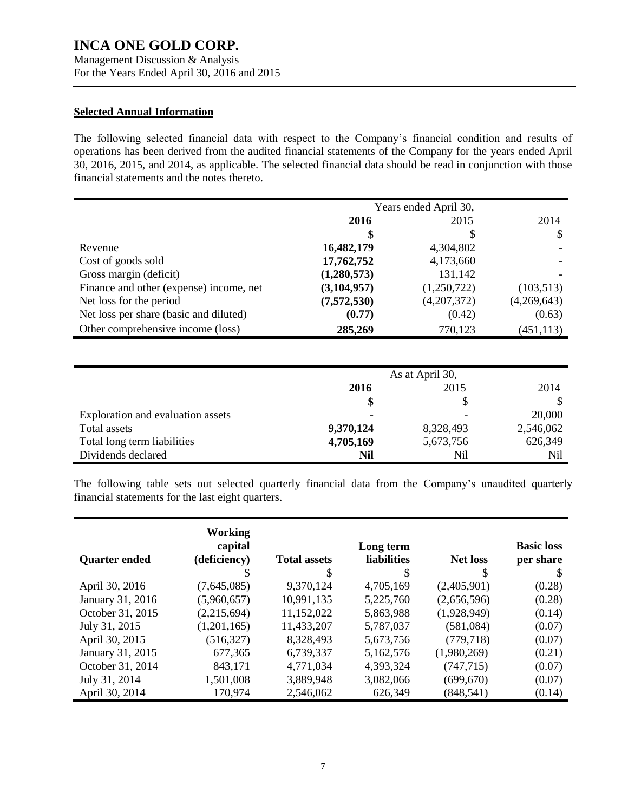Management Discussion & Analysis For the Years Ended April 30, 2016 and 2015

#### **Selected Annual Information**

The following selected financial data with respect to the Company's financial condition and results of operations has been derived from the audited financial statements of the Company for the years ended April 30, 2016, 2015, and 2014, as applicable. The selected financial data should be read in conjunction with those financial statements and the notes thereto.

|                                         | Years ended April 30, |             |             |
|-----------------------------------------|-----------------------|-------------|-------------|
|                                         | 2016                  | 2015        | 2014        |
|                                         | \$                    | S           | S           |
| Revenue                                 | 16,482,179            | 4,304,802   |             |
| Cost of goods sold                      | 17,762,752            | 4,173,660   |             |
| Gross margin (deficit)                  | (1,280,573)           | 131,142     |             |
| Finance and other (expense) income, net | (3, 104, 957)         | (1,250,722) | (103, 513)  |
| Net loss for the period                 | (7,572,530)           | (4,207,372) | (4,269,643) |
| Net loss per share (basic and diluted)  | (0.77)                | (0.42)      | (0.63)      |
| Other comprehensive income (loss)       | 285,269               | 770,123     | (451, 113)  |

|                                   | As at April 30, |           |           |  |
|-----------------------------------|-----------------|-----------|-----------|--|
|                                   | 2016            | 2015      | 2014      |  |
|                                   |                 |           |           |  |
| Exploration and evaluation assets |                 |           | 20,000    |  |
| Total assets                      | 9,370,124       | 8,328,493 | 2,546,062 |  |
| Total long term liabilities       | 4,705,169       | 5,673,756 | 626,349   |  |
| Dividends declared                | Nil             | Nil       | Nil       |  |

The following table sets out selected quarterly financial data from the Company's unaudited quarterly financial statements for the last eight quarters.

| <b>Quarter ended</b> | Working<br>capital<br>(deficiency) | <b>Total assets</b> | Long term<br>liabilities | <b>Net loss</b> | <b>Basic loss</b><br>per share |
|----------------------|------------------------------------|---------------------|--------------------------|-----------------|--------------------------------|
|                      | \$                                 | \$                  | \$                       | \$              | \$                             |
| April 30, 2016       | (7,645,085)                        | 9,370,124           | 4,705,169                | (2,405,901)     | (0.28)                         |
| January 31, 2016     | (5,960,657)                        | 10,991,135          | 5,225,760                | (2,656,596)     | (0.28)                         |
| October 31, 2015     | (2,215,694)                        | 11,152,022          | 5,863,988                | (1,928,949)     | (0.14)                         |
| July 31, 2015        | (1,201,165)                        | 11,433,207          | 5,787,037                | (581,084)       | (0.07)                         |
| April 30, 2015       | (516, 327)                         | 8,328,493           | 5,673,756                | (779, 718)      | (0.07)                         |
| January 31, 2015     | 677,365                            | 6,739,337           | 5,162,576                | (1,980,269)     | (0.21)                         |
| October 31, 2014     | 843,171                            | 4,771,034           | 4,393,324                | (747, 715)      | (0.07)                         |
| July 31, 2014        | 1,501,008                          | 3,889,948           | 3,082,066                | (699, 670)      | (0.07)                         |
| April 30, 2014       | 170,974                            | 2,546,062           | 626,349                  | (848, 541)      | (0.14)                         |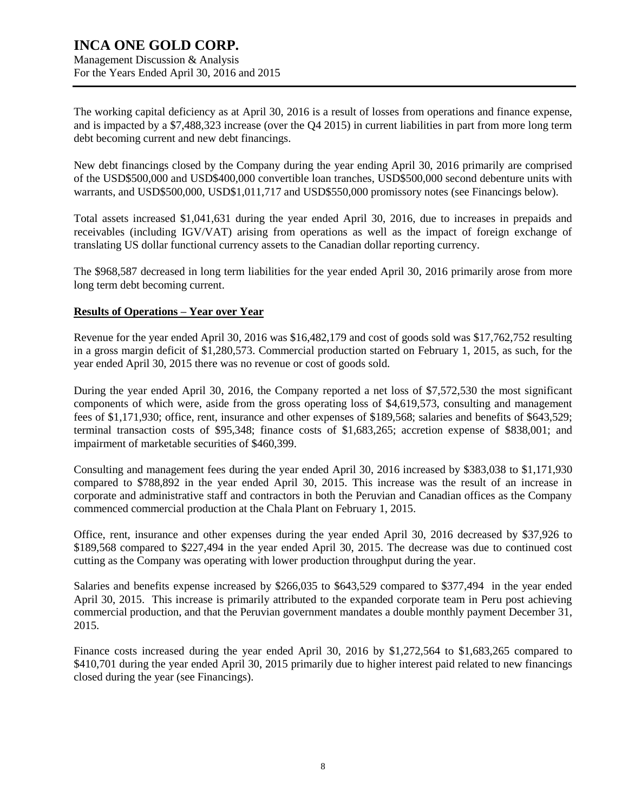The working capital deficiency as at April 30, 2016 is a result of losses from operations and finance expense, and is impacted by a \$7,488,323 increase (over the Q4 2015) in current liabilities in part from more long term debt becoming current and new debt financings.

New debt financings closed by the Company during the year ending April 30, 2016 primarily are comprised of the USD\$500,000 and USD\$400,000 convertible loan tranches, USD\$500,000 second debenture units with warrants, and USD\$500,000, USD\$1,011,717 and USD\$550,000 promissory notes (see Financings below).

Total assets increased \$1,041,631 during the year ended April 30, 2016, due to increases in prepaids and receivables (including IGV/VAT) arising from operations as well as the impact of foreign exchange of translating US dollar functional currency assets to the Canadian dollar reporting currency.

The \$968,587 decreased in long term liabilities for the year ended April 30, 2016 primarily arose from more long term debt becoming current.

### **Results of Operations – Year over Year**

Revenue for the year ended April 30, 2016 was \$16,482,179 and cost of goods sold was \$17,762,752 resulting in a gross margin deficit of \$1,280,573. Commercial production started on February 1, 2015, as such, for the year ended April 30, 2015 there was no revenue or cost of goods sold.

During the year ended April 30, 2016, the Company reported a net loss of \$7,572,530 the most significant components of which were, aside from the gross operating loss of \$4,619,573, consulting and management fees of \$1,171,930; office, rent, insurance and other expenses of \$189,568; salaries and benefits of \$643,529; terminal transaction costs of \$95,348; finance costs of \$1,683,265; accretion expense of \$838,001; and impairment of marketable securities of \$460,399.

Consulting and management fees during the year ended April 30, 2016 increased by \$383,038 to \$1,171,930 compared to \$788,892 in the year ended April 30, 2015. This increase was the result of an increase in corporate and administrative staff and contractors in both the Peruvian and Canadian offices as the Company commenced commercial production at the Chala Plant on February 1, 2015.

Office, rent, insurance and other expenses during the year ended April 30, 2016 decreased by \$37,926 to \$189,568 compared to \$227,494 in the year ended April 30, 2015. The decrease was due to continued cost cutting as the Company was operating with lower production throughput during the year.

Salaries and benefits expense increased by \$266,035 to \$643,529 compared to \$377,494 in the year ended April 30, 2015. This increase is primarily attributed to the expanded corporate team in Peru post achieving commercial production, and that the Peruvian government mandates a double monthly payment December 31, 2015.

Finance costs increased during the year ended April 30, 2016 by \$1,272,564 to \$1,683,265 compared to \$410,701 during the year ended April 30, 2015 primarily due to higher interest paid related to new financings closed during the year (see Financings).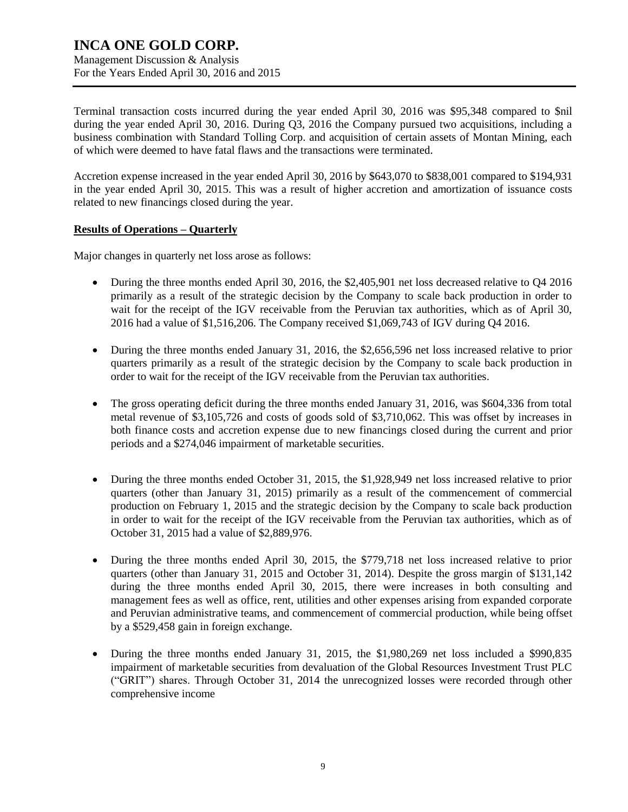Terminal transaction costs incurred during the year ended April 30, 2016 was \$95,348 compared to \$nil during the year ended April 30, 2016. During Q3, 2016 the Company pursued two acquisitions, including a business combination with Standard Tolling Corp. and acquisition of certain assets of Montan Mining, each of which were deemed to have fatal flaws and the transactions were terminated.

Accretion expense increased in the year ended April 30, 2016 by \$643,070 to \$838,001 compared to \$194,931 in the year ended April 30, 2015. This was a result of higher accretion and amortization of issuance costs related to new financings closed during the year.

### **Results of Operations – Quarterly**

Major changes in quarterly net loss arose as follows:

- During the three months ended April 30, 2016, the \$2,405,901 net loss decreased relative to Q4 2016 primarily as a result of the strategic decision by the Company to scale back production in order to wait for the receipt of the IGV receivable from the Peruvian tax authorities, which as of April 30, 2016 had a value of \$1,516,206. The Company received \$1,069,743 of IGV during Q4 2016.
- During the three months ended January 31, 2016, the \$2,656,596 net loss increased relative to prior quarters primarily as a result of the strategic decision by the Company to scale back production in order to wait for the receipt of the IGV receivable from the Peruvian tax authorities.
- The gross operating deficit during the three months ended January 31, 2016, was \$604,336 from total metal revenue of \$3,105,726 and costs of goods sold of \$3,710,062. This was offset by increases in both finance costs and accretion expense due to new financings closed during the current and prior periods and a \$274,046 impairment of marketable securities.
- During the three months ended October 31, 2015, the \$1,928,949 net loss increased relative to prior quarters (other than January 31, 2015) primarily as a result of the commencement of commercial production on February 1, 2015 and the strategic decision by the Company to scale back production in order to wait for the receipt of the IGV receivable from the Peruvian tax authorities, which as of October 31, 2015 had a value of \$2,889,976.
- During the three months ended April 30, 2015, the \$779,718 net loss increased relative to prior quarters (other than January 31, 2015 and October 31, 2014). Despite the gross margin of \$131,142 during the three months ended April 30, 2015, there were increases in both consulting and management fees as well as office, rent, utilities and other expenses arising from expanded corporate and Peruvian administrative teams, and commencement of commercial production, while being offset by a \$529,458 gain in foreign exchange.
- During the three months ended January 31, 2015, the \$1,980,269 net loss included a \$990,835 impairment of marketable securities from devaluation of the Global Resources Investment Trust PLC ("GRIT") shares. Through October 31, 2014 the unrecognized losses were recorded through other comprehensive income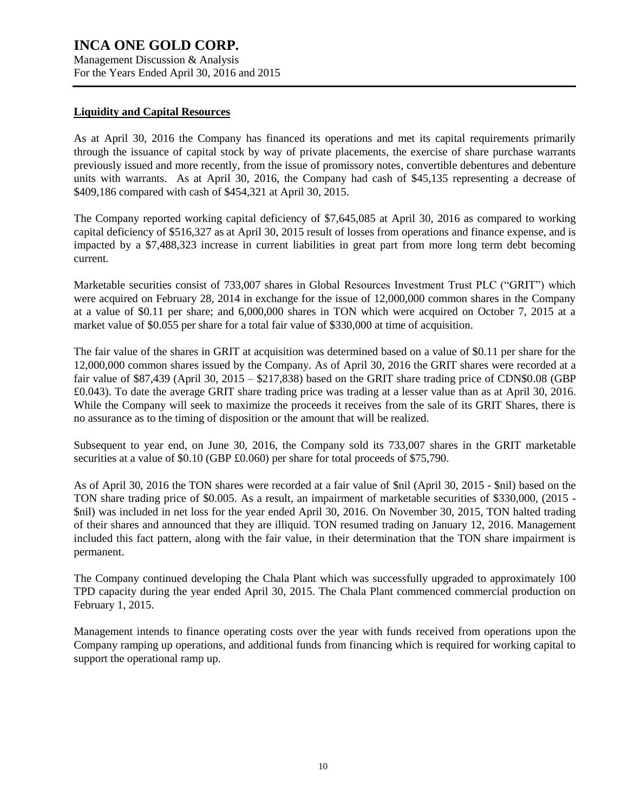### **Liquidity and Capital Resources**

As at April 30, 2016 the Company has financed its operations and met its capital requirements primarily through the issuance of capital stock by way of private placements, the exercise of share purchase warrants previously issued and more recently, from the issue of promissory notes, convertible debentures and debenture units with warrants. As at April 30, 2016, the Company had cash of \$45,135 representing a decrease of \$409,186 compared with cash of \$454,321 at April 30, 2015.

The Company reported working capital deficiency of \$7,645,085 at April 30, 2016 as compared to working capital deficiency of \$516,327 as at April 30, 2015 result of losses from operations and finance expense, and is impacted by a \$7,488,323 increase in current liabilities in great part from more long term debt becoming current.

Marketable securities consist of 733,007 shares in Global Resources Investment Trust PLC ("GRIT") which were acquired on February 28, 2014 in exchange for the issue of 12,000,000 common shares in the Company at a value of \$0.11 per share; and 6,000,000 shares in TON which were acquired on October 7, 2015 at a market value of \$0.055 per share for a total fair value of \$330,000 at time of acquisition.

The fair value of the shares in GRIT at acquisition was determined based on a value of \$0.11 per share for the 12,000,000 common shares issued by the Company. As of April 30, 2016 the GRIT shares were recorded at a fair value of \$87,439 (April 30, 2015 – \$217,838) based on the GRIT share trading price of CDN\$0.08 (GBP £0.043). To date the average GRIT share trading price was trading at a lesser value than as at April 30, 2016. While the Company will seek to maximize the proceeds it receives from the sale of its GRIT Shares, there is no assurance as to the timing of disposition or the amount that will be realized.

Subsequent to year end, on June 30, 2016, the Company sold its 733,007 shares in the GRIT marketable securities at a value of \$0.10 (GBP £0.060) per share for total proceeds of \$75,790.

As of April 30, 2016 the TON shares were recorded at a fair value of \$nil (April 30, 2015 - \$nil) based on the TON share trading price of \$0.005. As a result, an impairment of marketable securities of \$330,000, (2015 - \$nil) was included in net loss for the year ended April 30, 2016. On November 30, 2015, TON halted trading of their shares and announced that they are illiquid. TON resumed trading on January 12, 2016. Management included this fact pattern, along with the fair value, in their determination that the TON share impairment is permanent.

The Company continued developing the Chala Plant which was successfully upgraded to approximately 100 TPD capacity during the year ended April 30, 2015. The Chala Plant commenced commercial production on February 1, 2015.

Management intends to finance operating costs over the year with funds received from operations upon the Company ramping up operations, and additional funds from financing which is required for working capital to support the operational ramp up.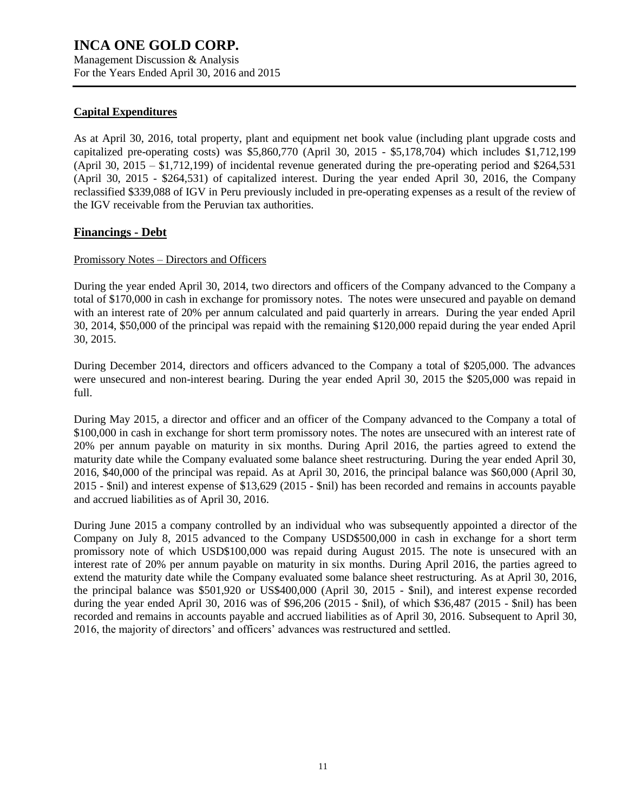Management Discussion & Analysis For the Years Ended April 30, 2016 and 2015

### **Capital Expenditures**

As at April 30, 2016, total property, plant and equipment net book value (including plant upgrade costs and capitalized pre-operating costs) was \$5,860,770 (April 30, 2015 - \$5,178,704) which includes \$1,712,199 (April 30, 2015 – \$1,712,199) of incidental revenue generated during the pre-operating period and \$264,531 (April 30, 2015 - \$264,531) of capitalized interest. During the year ended April 30, 2016, the Company reclassified \$339,088 of IGV in Peru previously included in pre-operating expenses as a result of the review of the IGV receivable from the Peruvian tax authorities.

### **Financings - Debt**

### Promissory Notes – Directors and Officers

During the year ended April 30, 2014, two directors and officers of the Company advanced to the Company a total of \$170,000 in cash in exchange for promissory notes. The notes were unsecured and payable on demand with an interest rate of 20% per annum calculated and paid quarterly in arrears. During the year ended April 30, 2014, \$50,000 of the principal was repaid with the remaining \$120,000 repaid during the year ended April 30, 2015.

During December 2014, directors and officers advanced to the Company a total of \$205,000. The advances were unsecured and non-interest bearing. During the year ended April 30, 2015 the \$205,000 was repaid in full.

During May 2015, a director and officer and an officer of the Company advanced to the Company a total of \$100,000 in cash in exchange for short term promissory notes. The notes are unsecured with an interest rate of 20% per annum payable on maturity in six months. During April 2016, the parties agreed to extend the maturity date while the Company evaluated some balance sheet restructuring. During the year ended April 30, 2016, \$40,000 of the principal was repaid. As at April 30, 2016, the principal balance was \$60,000 (April 30, 2015 - \$nil) and interest expense of \$13,629 (2015 - \$nil) has been recorded and remains in accounts payable and accrued liabilities as of April 30, 2016.

During June 2015 a company controlled by an individual who was subsequently appointed a director of the Company on July 8, 2015 advanced to the Company USD\$500,000 in cash in exchange for a short term promissory note of which USD\$100,000 was repaid during August 2015. The note is unsecured with an interest rate of 20% per annum payable on maturity in six months. During April 2016, the parties agreed to extend the maturity date while the Company evaluated some balance sheet restructuring. As at April 30, 2016, the principal balance was \$501,920 or US\$400,000 (April 30, 2015 - \$nil), and interest expense recorded during the year ended April 30, 2016 was of \$96,206 (2015 - \$nil), of which \$36,487 (2015 - \$nil) has been recorded and remains in accounts payable and accrued liabilities as of April 30, 2016. Subsequent to April 30, 2016, the majority of directors' and officers' advances was restructured and settled.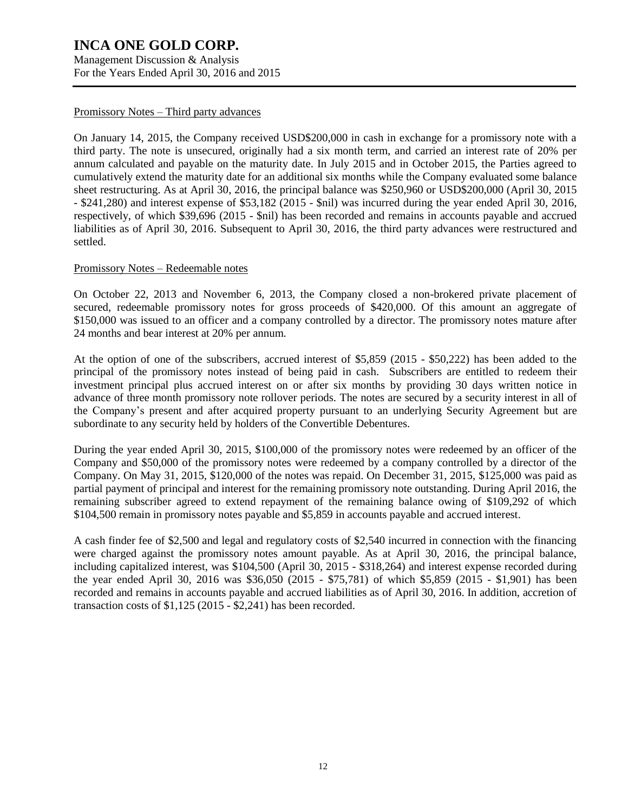Management Discussion & Analysis For the Years Ended April 30, 2016 and 2015

### Promissory Notes – Third party advances

On January 14, 2015, the Company received USD\$200,000 in cash in exchange for a promissory note with a third party. The note is unsecured, originally had a six month term, and carried an interest rate of 20% per annum calculated and payable on the maturity date. In July 2015 and in October 2015, the Parties agreed to cumulatively extend the maturity date for an additional six months while the Company evaluated some balance sheet restructuring. As at April 30, 2016, the principal balance was \$250,960 or USD\$200,000 (April 30, 2015 - \$241,280) and interest expense of \$53,182 (2015 - \$nil) was incurred during the year ended April 30, 2016, respectively, of which \$39,696 (2015 - \$nil) has been recorded and remains in accounts payable and accrued liabilities as of April 30, 2016. Subsequent to April 30, 2016, the third party advances were restructured and settled.

#### Promissory Notes – Redeemable notes

On October 22, 2013 and November 6, 2013, the Company closed a non-brokered private placement of secured, redeemable promissory notes for gross proceeds of \$420,000. Of this amount an aggregate of \$150,000 was issued to an officer and a company controlled by a director. The promissory notes mature after 24 months and bear interest at 20% per annum.

At the option of one of the subscribers, accrued interest of \$5,859 (2015 - \$50,222) has been added to the principal of the promissory notes instead of being paid in cash. Subscribers are entitled to redeem their investment principal plus accrued interest on or after six months by providing 30 days written notice in advance of three month promissory note rollover periods. The notes are secured by a security interest in all of the Company's present and after acquired property pursuant to an underlying Security Agreement but are subordinate to any security held by holders of the Convertible Debentures.

During the year ended April 30, 2015, \$100,000 of the promissory notes were redeemed by an officer of the Company and \$50,000 of the promissory notes were redeemed by a company controlled by a director of the Company. On May 31, 2015, \$120,000 of the notes was repaid. On December 31, 2015, \$125,000 was paid as partial payment of principal and interest for the remaining promissory note outstanding. During April 2016, the remaining subscriber agreed to extend repayment of the remaining balance owing of \$109,292 of which \$104,500 remain in promissory notes payable and \$5,859 in accounts payable and accrued interest.

A cash finder fee of \$2,500 and legal and regulatory costs of \$2,540 incurred in connection with the financing were charged against the promissory notes amount payable. As at April 30, 2016, the principal balance, including capitalized interest, was \$104,500 (April 30, 2015 - \$318,264) and interest expense recorded during the year ended April 30, 2016 was \$36,050 (2015 - \$75,781) of which \$5,859 (2015 - \$1,901) has been recorded and remains in accounts payable and accrued liabilities as of April 30, 2016. In addition, accretion of transaction costs of \$1,125 (2015 - \$2,241) has been recorded.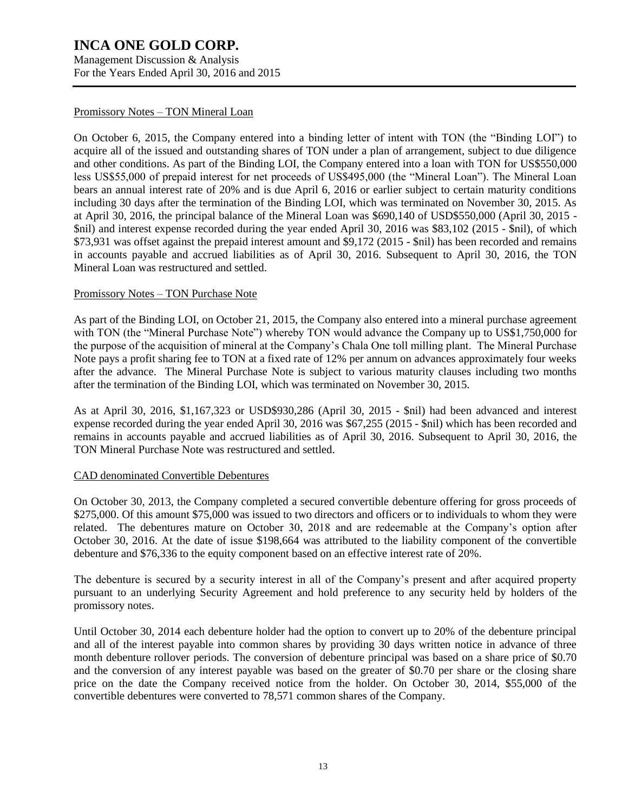Management Discussion & Analysis For the Years Ended April 30, 2016 and 2015

### Promissory Notes – TON Mineral Loan

On October 6, 2015, the Company entered into a binding letter of intent with TON (the "Binding LOI") to acquire all of the issued and outstanding shares of TON under a plan of arrangement, subject to due diligence and other conditions. As part of the Binding LOI, the Company entered into a loan with TON for US\$550,000 less US\$55,000 of prepaid interest for net proceeds of US\$495,000 (the "Mineral Loan"). The Mineral Loan bears an annual interest rate of 20% and is due April 6, 2016 or earlier subject to certain maturity conditions including 30 days after the termination of the Binding LOI, which was terminated on November 30, 2015. As at April 30, 2016, the principal balance of the Mineral Loan was \$690,140 of USD\$550,000 (April 30, 2015 - \$nil) and interest expense recorded during the year ended April 30, 2016 was \$83,102 (2015 - \$nil), of which \$73,931 was offset against the prepaid interest amount and \$9,172 (2015 - \$nil) has been recorded and remains in accounts payable and accrued liabilities as of April 30, 2016. Subsequent to April 30, 2016, the TON Mineral Loan was restructured and settled.

### Promissory Notes – TON Purchase Note

As part of the Binding LOI, on October 21, 2015, the Company also entered into a mineral purchase agreement with TON (the "Mineral Purchase Note") whereby TON would advance the Company up to US\$1,750,000 for the purpose of the acquisition of mineral at the Company's Chala One toll milling plant. The Mineral Purchase Note pays a profit sharing fee to TON at a fixed rate of 12% per annum on advances approximately four weeks after the advance. The Mineral Purchase Note is subject to various maturity clauses including two months after the termination of the Binding LOI, which was terminated on November 30, 2015.

As at April 30, 2016, \$1,167,323 or USD\$930,286 (April 30, 2015 - \$nil) had been advanced and interest expense recorded during the year ended April 30, 2016 was \$67,255 (2015 - \$nil) which has been recorded and remains in accounts payable and accrued liabilities as of April 30, 2016. Subsequent to April 30, 2016, the TON Mineral Purchase Note was restructured and settled.

### CAD denominated Convertible Debentures

On October 30, 2013, the Company completed a secured convertible debenture offering for gross proceeds of \$275,000. Of this amount \$75,000 was issued to two directors and officers or to individuals to whom they were related. The debentures mature on October 30, 2018 and are redeemable at the Company's option after October 30, 2016. At the date of issue \$198,664 was attributed to the liability component of the convertible debenture and \$76,336 to the equity component based on an effective interest rate of 20%.

The debenture is secured by a security interest in all of the Company's present and after acquired property pursuant to an underlying Security Agreement and hold preference to any security held by holders of the promissory notes.

Until October 30, 2014 each debenture holder had the option to convert up to 20% of the debenture principal and all of the interest payable into common shares by providing 30 days written notice in advance of three month debenture rollover periods. The conversion of debenture principal was based on a share price of \$0.70 and the conversion of any interest payable was based on the greater of \$0.70 per share or the closing share price on the date the Company received notice from the holder. On October 30, 2014, \$55,000 of the convertible debentures were converted to 78,571 common shares of the Company.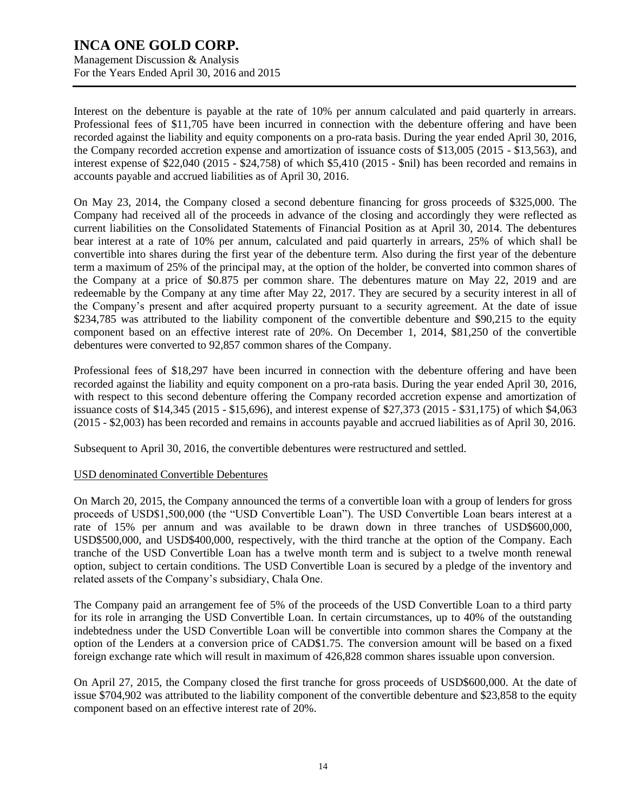Management Discussion & Analysis For the Years Ended April 30, 2016 and 2015

Interest on the debenture is payable at the rate of 10% per annum calculated and paid quarterly in arrears. Professional fees of \$11,705 have been incurred in connection with the debenture offering and have been recorded against the liability and equity components on a pro-rata basis. During the year ended April 30, 2016, the Company recorded accretion expense and amortization of issuance costs of \$13,005 (2015 - \$13,563), and interest expense of \$22,040 (2015 - \$24,758) of which \$5,410 (2015 - \$nil) has been recorded and remains in accounts payable and accrued liabilities as of April 30, 2016.

On May 23, 2014, the Company closed a second debenture financing for gross proceeds of \$325,000. The Company had received all of the proceeds in advance of the closing and accordingly they were reflected as current liabilities on the Consolidated Statements of Financial Position as at April 30, 2014. The debentures bear interest at a rate of 10% per annum, calculated and paid quarterly in arrears, 25% of which shall be convertible into shares during the first year of the debenture term. Also during the first year of the debenture term a maximum of 25% of the principal may, at the option of the holder, be converted into common shares of the Company at a price of \$0.875 per common share. The debentures mature on May 22, 2019 and are redeemable by the Company at any time after May 22, 2017. They are secured by a security interest in all of the Company's present and after acquired property pursuant to a security agreement. At the date of issue \$234,785 was attributed to the liability component of the convertible debenture and \$90,215 to the equity component based on an effective interest rate of 20%. On December 1, 2014, \$81,250 of the convertible debentures were converted to 92,857 common shares of the Company.

Professional fees of \$18,297 have been incurred in connection with the debenture offering and have been recorded against the liability and equity component on a pro-rata basis. During the year ended April 30, 2016, with respect to this second debenture offering the Company recorded accretion expense and amortization of issuance costs of \$14,345 (2015 - \$15,696), and interest expense of \$27,373 (2015 - \$31,175) of which \$4,063 (2015 - \$2,003) has been recorded and remains in accounts payable and accrued liabilities as of April 30, 2016.

Subsequent to April 30, 2016, the convertible debentures were restructured and settled.

### USD denominated Convertible Debentures

On March 20, 2015, the Company announced the terms of a convertible loan with a group of lenders for gross proceeds of USD\$1,500,000 (the "USD Convertible Loan"). The USD Convertible Loan bears interest at a rate of 15% per annum and was available to be drawn down in three tranches of USD\$600,000, USD\$500,000, and USD\$400,000, respectively, with the third tranche at the option of the Company. Each tranche of the USD Convertible Loan has a twelve month term and is subject to a twelve month renewal option, subject to certain conditions. The USD Convertible Loan is secured by a pledge of the inventory and related assets of the Company's subsidiary, Chala One.

The Company paid an arrangement fee of 5% of the proceeds of the USD Convertible Loan to a third party for its role in arranging the USD Convertible Loan. In certain circumstances, up to 40% of the outstanding indebtedness under the USD Convertible Loan will be convertible into common shares the Company at the option of the Lenders at a conversion price of CAD\$1.75. The conversion amount will be based on a fixed foreign exchange rate which will result in maximum of 426,828 common shares issuable upon conversion.

On April 27, 2015, the Company closed the first tranche for gross proceeds of USD\$600,000. At the date of issue \$704,902 was attributed to the liability component of the convertible debenture and \$23,858 to the equity component based on an effective interest rate of 20%.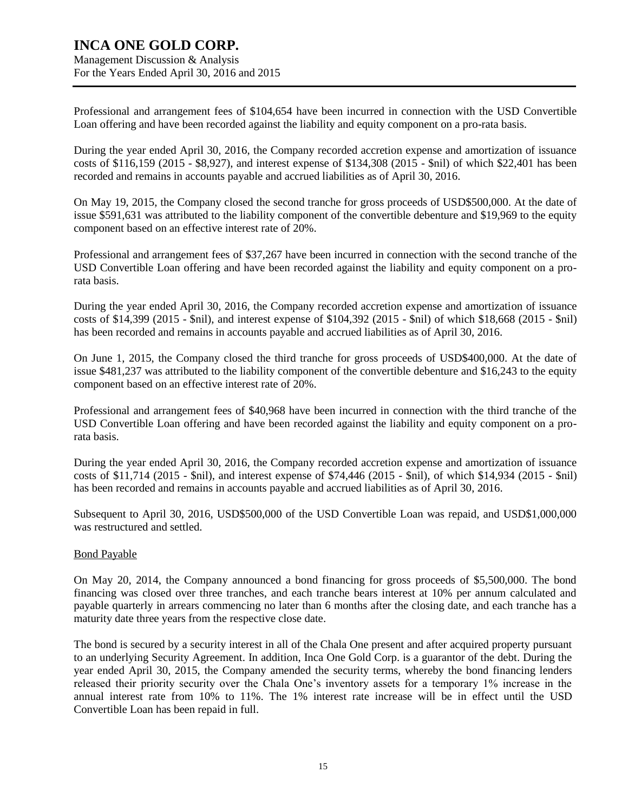## **INCA ONE GOLD CORP.** Management Discussion & Analysis

For the Years Ended April 30, 2016 and 2015

Professional and arrangement fees of \$104,654 have been incurred in connection with the USD Convertible Loan offering and have been recorded against the liability and equity component on a pro-rata basis.

During the year ended April 30, 2016, the Company recorded accretion expense and amortization of issuance costs of \$116,159 (2015 - \$8,927), and interest expense of \$134,308 (2015 - \$nil) of which \$22,401 has been recorded and remains in accounts payable and accrued liabilities as of April 30, 2016.

On May 19, 2015, the Company closed the second tranche for gross proceeds of USD\$500,000. At the date of issue \$591,631 was attributed to the liability component of the convertible debenture and \$19,969 to the equity component based on an effective interest rate of 20%.

Professional and arrangement fees of \$37,267 have been incurred in connection with the second tranche of the USD Convertible Loan offering and have been recorded against the liability and equity component on a prorata basis.

During the year ended April 30, 2016, the Company recorded accretion expense and amortization of issuance costs of \$14,399 (2015 - \$nil), and interest expense of \$104,392 (2015 - \$nil) of which \$18,668 (2015 - \$nil) has been recorded and remains in accounts payable and accrued liabilities as of April 30, 2016.

On June 1, 2015, the Company closed the third tranche for gross proceeds of USD\$400,000. At the date of issue \$481,237 was attributed to the liability component of the convertible debenture and \$16,243 to the equity component based on an effective interest rate of 20%.

Professional and arrangement fees of \$40,968 have been incurred in connection with the third tranche of the USD Convertible Loan offering and have been recorded against the liability and equity component on a prorata basis.

During the year ended April 30, 2016, the Company recorded accretion expense and amortization of issuance costs of \$11,714 (2015 - \$nil), and interest expense of \$74,446 (2015 - \$nil), of which \$14,934 (2015 - \$nil) has been recorded and remains in accounts payable and accrued liabilities as of April 30, 2016.

Subsequent to April 30, 2016, USD\$500,000 of the USD Convertible Loan was repaid, and USD\$1,000,000 was restructured and settled.

### Bond Payable

On May 20, 2014, the Company announced a bond financing for gross proceeds of \$5,500,000. The bond financing was closed over three tranches, and each tranche bears interest at 10% per annum calculated and payable quarterly in arrears commencing no later than 6 months after the closing date, and each tranche has a maturity date three years from the respective close date.

The bond is secured by a security interest in all of the Chala One present and after acquired property pursuant to an underlying Security Agreement. In addition, Inca One Gold Corp. is a guarantor of the debt. During the year ended April 30, 2015, the Company amended the security terms, whereby the bond financing lenders released their priority security over the Chala One's inventory assets for a temporary 1% increase in the annual interest rate from 10% to 11%. The 1% interest rate increase will be in effect until the USD Convertible Loan has been repaid in full.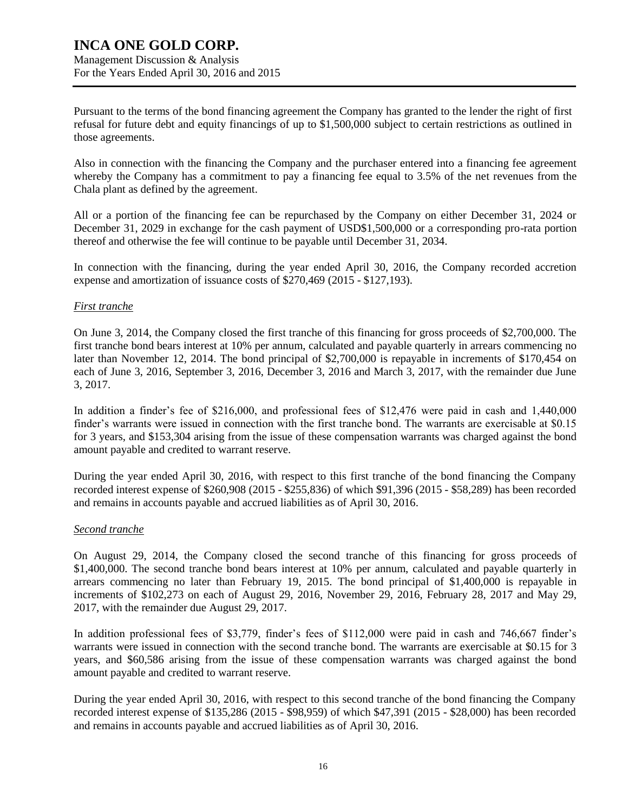Management Discussion & Analysis For the Years Ended April 30, 2016 and 2015

Pursuant to the terms of the bond financing agreement the Company has granted to the lender the right of first refusal for future debt and equity financings of up to \$1,500,000 subject to certain restrictions as outlined in those agreements.

Also in connection with the financing the Company and the purchaser entered into a financing fee agreement whereby the Company has a commitment to pay a financing fee equal to 3.5% of the net revenues from the Chala plant as defined by the agreement.

All or a portion of the financing fee can be repurchased by the Company on either December 31, 2024 or December 31, 2029 in exchange for the cash payment of USD\$1,500,000 or a corresponding pro-rata portion thereof and otherwise the fee will continue to be payable until December 31, 2034.

In connection with the financing, during the year ended April 30, 2016, the Company recorded accretion expense and amortization of issuance costs of \$270,469 (2015 - \$127,193).

### *First tranche*

On June 3, 2014, the Company closed the first tranche of this financing for gross proceeds of \$2,700,000. The first tranche bond bears interest at 10% per annum, calculated and payable quarterly in arrears commencing no later than November 12, 2014. The bond principal of \$2,700,000 is repayable in increments of \$170,454 on each of June 3, 2016, September 3, 2016, December 3, 2016 and March 3, 2017, with the remainder due June 3, 2017.

In addition a finder's fee of \$216,000, and professional fees of \$12,476 were paid in cash and 1,440,000 finder's warrants were issued in connection with the first tranche bond. The warrants are exercisable at \$0.15 for 3 years, and \$153,304 arising from the issue of these compensation warrants was charged against the bond amount payable and credited to warrant reserve.

During the year ended April 30, 2016, with respect to this first tranche of the bond financing the Company recorded interest expense of \$260,908 (2015 - \$255,836) of which \$91,396 (2015 - \$58,289) has been recorded and remains in accounts payable and accrued liabilities as of April 30, 2016.

### *Second tranche*

On August 29, 2014, the Company closed the second tranche of this financing for gross proceeds of \$1,400,000. The second tranche bond bears interest at 10% per annum, calculated and payable quarterly in arrears commencing no later than February 19, 2015. The bond principal of \$1,400,000 is repayable in increments of \$102,273 on each of August 29, 2016, November 29, 2016, February 28, 2017 and May 29, 2017, with the remainder due August 29, 2017.

In addition professional fees of \$3,779, finder's fees of \$112,000 were paid in cash and 746,667 finder's warrants were issued in connection with the second tranche bond. The warrants are exercisable at \$0.15 for 3 years, and \$60,586 arising from the issue of these compensation warrants was charged against the bond amount payable and credited to warrant reserve.

During the year ended April 30, 2016, with respect to this second tranche of the bond financing the Company recorded interest expense of \$135,286 (2015 - \$98,959) of which \$47,391 (2015 - \$28,000) has been recorded and remains in accounts payable and accrued liabilities as of April 30, 2016.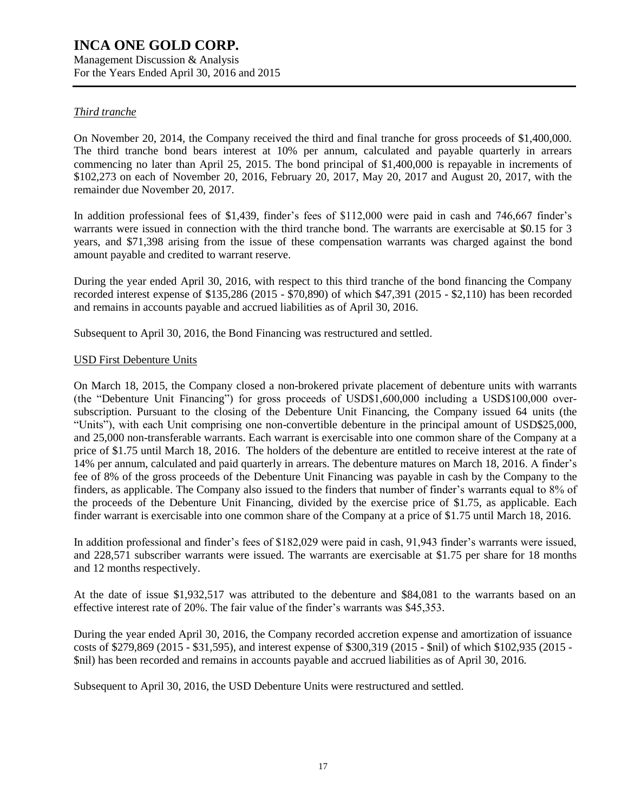Management Discussion & Analysis For the Years Ended April 30, 2016 and 2015

### *Third tranche*

On November 20, 2014, the Company received the third and final tranche for gross proceeds of \$1,400,000. The third tranche bond bears interest at 10% per annum, calculated and payable quarterly in arrears commencing no later than April 25, 2015. The bond principal of \$1,400,000 is repayable in increments of \$102,273 on each of November 20, 2016, February 20, 2017, May 20, 2017 and August 20, 2017, with the remainder due November 20, 2017.

In addition professional fees of \$1,439, finder's fees of \$112,000 were paid in cash and 746,667 finder's warrants were issued in connection with the third tranche bond. The warrants are exercisable at \$0.15 for 3 years, and \$71,398 arising from the issue of these compensation warrants was charged against the bond amount payable and credited to warrant reserve.

During the year ended April 30, 2016, with respect to this third tranche of the bond financing the Company recorded interest expense of \$135,286 (2015 - \$70,890) of which \$47,391 (2015 - \$2,110) has been recorded and remains in accounts payable and accrued liabilities as of April 30, 2016.

Subsequent to April 30, 2016, the Bond Financing was restructured and settled.

### USD First Debenture Units

On March 18, 2015, the Company closed a non-brokered private placement of debenture units with warrants (the "Debenture Unit Financing") for gross proceeds of USD\$1,600,000 including a USD\$100,000 oversubscription. Pursuant to the closing of the Debenture Unit Financing, the Company issued 64 units (the "Units"), with each Unit comprising one non-convertible debenture in the principal amount of USD\$25,000, and 25,000 non-transferable warrants. Each warrant is exercisable into one common share of the Company at a price of \$1.75 until March 18, 2016. The holders of the debenture are entitled to receive interest at the rate of 14% per annum, calculated and paid quarterly in arrears. The debenture matures on March 18, 2016. A finder's fee of 8% of the gross proceeds of the Debenture Unit Financing was payable in cash by the Company to the finders, as applicable. The Company also issued to the finders that number of finder's warrants equal to 8% of the proceeds of the Debenture Unit Financing, divided by the exercise price of \$1.75, as applicable. Each finder warrant is exercisable into one common share of the Company at a price of \$1.75 until March 18, 2016.

In addition professional and finder's fees of \$182,029 were paid in cash, 91,943 finder's warrants were issued, and 228,571 subscriber warrants were issued. The warrants are exercisable at \$1.75 per share for 18 months and 12 months respectively.

At the date of issue \$1,932,517 was attributed to the debenture and \$84,081 to the warrants based on an effective interest rate of 20%. The fair value of the finder's warrants was \$45,353.

During the year ended April 30, 2016, the Company recorded accretion expense and amortization of issuance costs of \$279,869 (2015 - \$31,595), and interest expense of \$300,319 (2015 - \$nil) of which \$102,935 (2015 - \$nil) has been recorded and remains in accounts payable and accrued liabilities as of April 30, 2016.

Subsequent to April 30, 2016, the USD Debenture Units were restructured and settled.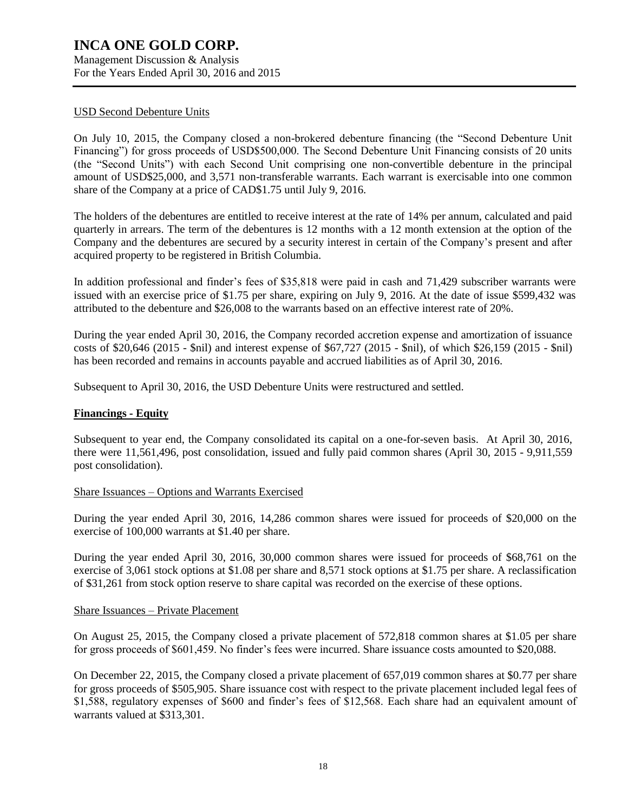#### USD Second Debenture Units

On July 10, 2015, the Company closed a non-brokered debenture financing (the "Second Debenture Unit Financing") for gross proceeds of USD\$500,000. The Second Debenture Unit Financing consists of 20 units (the "Second Units") with each Second Unit comprising one non-convertible debenture in the principal amount of USD\$25,000, and 3,571 non-transferable warrants. Each warrant is exercisable into one common share of the Company at a price of CAD\$1.75 until July 9, 2016.

The holders of the debentures are entitled to receive interest at the rate of 14% per annum, calculated and paid quarterly in arrears. The term of the debentures is 12 months with a 12 month extension at the option of the Company and the debentures are secured by a security interest in certain of the Company's present and after acquired property to be registered in British Columbia.

In addition professional and finder's fees of \$35,818 were paid in cash and 71,429 subscriber warrants were issued with an exercise price of \$1.75 per share, expiring on July 9, 2016. At the date of issue \$599,432 was attributed to the debenture and \$26,008 to the warrants based on an effective interest rate of 20%.

During the year ended April 30, 2016, the Company recorded accretion expense and amortization of issuance costs of \$20,646 (2015 - \$nil) and interest expense of \$67,727 (2015 - \$nil), of which \$26,159 (2015 - \$nil) has been recorded and remains in accounts payable and accrued liabilities as of April 30, 2016.

Subsequent to April 30, 2016, the USD Debenture Units were restructured and settled.

#### **Financings - Equity**

Subsequent to year end, the Company consolidated its capital on a one-for-seven basis. At April 30, 2016, there were 11,561,496, post consolidation, issued and fully paid common shares (April 30, 2015 - 9,911,559 post consolidation).

#### Share Issuances – Options and Warrants Exercised

During the year ended April 30, 2016, 14,286 common shares were issued for proceeds of \$20,000 on the exercise of 100,000 warrants at \$1.40 per share.

During the year ended April 30, 2016, 30,000 common shares were issued for proceeds of \$68,761 on the exercise of 3,061 stock options at \$1.08 per share and 8,571 stock options at \$1.75 per share. A reclassification of \$31,261 from stock option reserve to share capital was recorded on the exercise of these options.

#### Share Issuances – Private Placement

On August 25, 2015, the Company closed a private placement of 572,818 common shares at \$1.05 per share for gross proceeds of \$601,459. No finder's fees were incurred. Share issuance costs amounted to \$20,088.

On December 22, 2015, the Company closed a private placement of 657,019 common shares at \$0.77 per share for gross proceeds of \$505,905. Share issuance cost with respect to the private placement included legal fees of \$1,588, regulatory expenses of \$600 and finder's fees of \$12,568. Each share had an equivalent amount of warrants valued at \$313,301.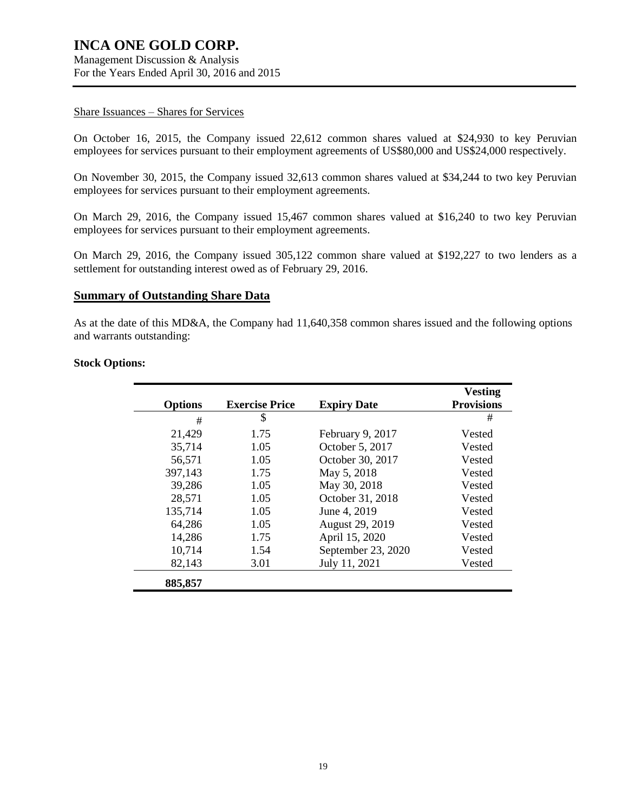Management Discussion & Analysis For the Years Ended April 30, 2016 and 2015

#### Share Issuances – Shares for Services

On October 16, 2015, the Company issued 22,612 common shares valued at \$24,930 to key Peruvian employees for services pursuant to their employment agreements of US\$80,000 and US\$24,000 respectively.

On November 30, 2015, the Company issued 32,613 common shares valued at \$34,244 to two key Peruvian employees for services pursuant to their employment agreements.

On March 29, 2016, the Company issued 15,467 common shares valued at \$16,240 to two key Peruvian employees for services pursuant to their employment agreements.

On March 29, 2016, the Company issued 305,122 common share valued at \$192,227 to two lenders as a settlement for outstanding interest owed as of February 29, 2016.

#### **Summary of Outstanding Share Data**

As at the date of this MD&A, the Company had 11,640,358 common shares issued and the following options and warrants outstanding:

### **Stock Options:**

|                |                       |                    | <b>Vesting</b>    |
|----------------|-----------------------|--------------------|-------------------|
| <b>Options</b> | <b>Exercise Price</b> | <b>Expiry Date</b> | <b>Provisions</b> |
| #              | \$                    |                    | #                 |
| 21,429         | 1.75                  | February 9, 2017   | Vested            |
| 35,714         | 1.05                  | October 5, 2017    | Vested            |
| 56,571         | 1.05                  | October 30, 2017   | Vested            |
| 397,143        | 1.75                  | May 5, 2018        | Vested            |
| 39,286         | 1.05                  | May 30, 2018       | Vested            |
| 28,571         | 1.05                  | October 31, 2018   | Vested            |
| 135,714        | 1.05                  | June 4, 2019       | Vested            |
| 64,286         | 1.05                  | August 29, 2019    | Vested            |
| 14,286         | 1.75                  | April 15, 2020     | Vested            |
| 10,714         | 1.54                  | September 23, 2020 | Vested            |
| 82,143         | 3.01                  | July 11, 2021      | Vested            |
| 885,857        |                       |                    |                   |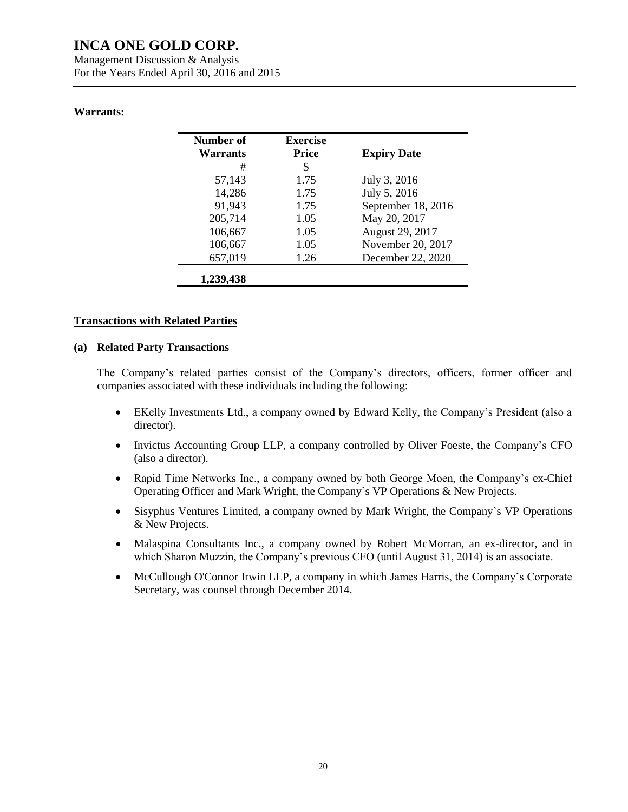Management Discussion & Analysis For the Years Ended April 30, 2016 and 2015

### **Warrants:**

| Number of<br><b>Warrants</b> | <b>Exercise</b><br><b>Price</b> | <b>Expiry Date</b> |
|------------------------------|---------------------------------|--------------------|
| #                            | \$                              |                    |
| 57,143                       | 1.75                            | July 3, 2016       |
| 14,286                       | 1.75                            | July 5, 2016       |
| 91,943                       | 1.75                            | September 18, 2016 |
| 205,714                      | 1.05                            | May 20, 2017       |
| 106,667                      | 1.05                            | August 29, 2017    |
| 106,667                      | 1.05                            | November 20, 2017  |
| 657,019                      | 1.26                            | December 22, 2020  |
| 1,239,438                    |                                 |                    |

### **Transactions with Related Parties**

#### **(a) Related Party Transactions**

The Company's related parties consist of the Company's directors, officers, former officer and companies associated with these individuals including the following:

- EKelly Investments Ltd., a company owned by Edward Kelly, the Company's President (also a director).
- Invictus Accounting Group LLP, a company controlled by Oliver Foeste, the Company's CFO (also a director).
- Rapid Time Networks Inc., a company owned by both George Moen, the Company's ex-Chief Operating Officer and Mark Wright, the Company`s VP Operations & New Projects.
- Sisyphus Ventures Limited, a company owned by Mark Wright, the Company's VP Operations & New Projects.
- Malaspina Consultants Inc., a company owned by Robert McMorran, an ex-director, and in which Sharon Muzzin, the Company's previous CFO (until August 31, 2014) is an associate.
- McCullough O'Connor Irwin LLP, a company in which James Harris, the Company's Corporate Secretary, was counsel through December 2014.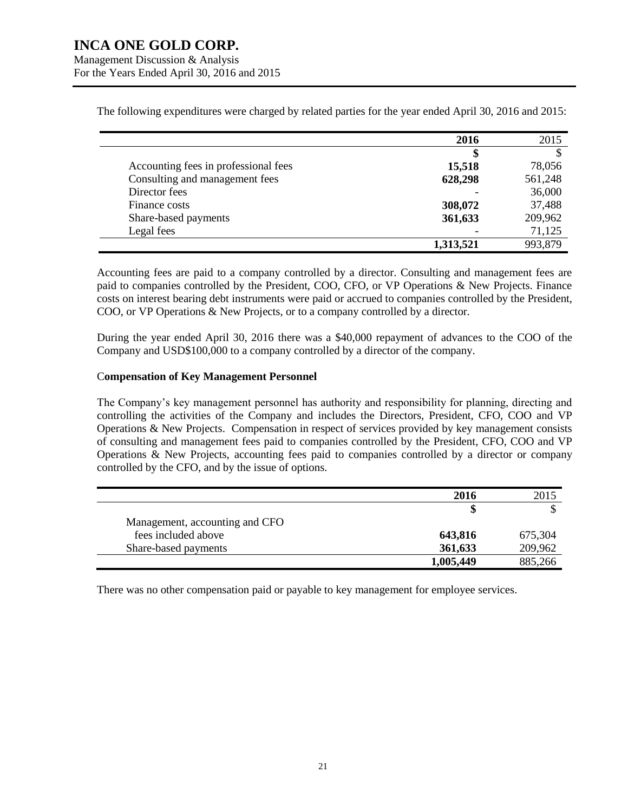Management Discussion & Analysis For the Years Ended April 30, 2016 and 2015

|                                      | 2016      | 2015    |
|--------------------------------------|-----------|---------|
|                                      | S         |         |
| Accounting fees in professional fees | 15,518    | 78,056  |
| Consulting and management fees       | 628,298   | 561,248 |
| Director fees                        |           | 36,000  |
| Finance costs                        | 308,072   | 37,488  |
| Share-based payments                 | 361,633   | 209,962 |
| Legal fees                           |           | 71,125  |
|                                      | 1,313,521 | 993,879 |

The following expenditures were charged by related parties for the year ended April 30, 2016 and 2015:

Accounting fees are paid to a company controlled by a director. Consulting and management fees are paid to companies controlled by the President, COO, CFO, or VP Operations & New Projects. Finance costs on interest bearing debt instruments were paid or accrued to companies controlled by the President, COO, or VP Operations & New Projects, or to a company controlled by a director.

During the year ended April 30, 2016 there was a \$40,000 repayment of advances to the COO of the Company and USD\$100,000 to a company controlled by a director of the company.

#### C**ompensation of Key Management Personnel**

The Company's key management personnel has authority and responsibility for planning, directing and controlling the activities of the Company and includes the Directors, President, CFO, COO and VP Operations & New Projects. Compensation in respect of services provided by key management consists of consulting and management fees paid to companies controlled by the President, CFO, COO and VP Operations & New Projects, accounting fees paid to companies controlled by a director or company controlled by the CFO, and by the issue of options.

|                                | 2016      | 2015    |
|--------------------------------|-----------|---------|
|                                |           |         |
| Management, accounting and CFO |           |         |
| fees included above            | 643,816   | 675,304 |
| Share-based payments           | 361,633   | 209,962 |
|                                | 1,005,449 | 885,266 |

There was no other compensation paid or payable to key management for employee services.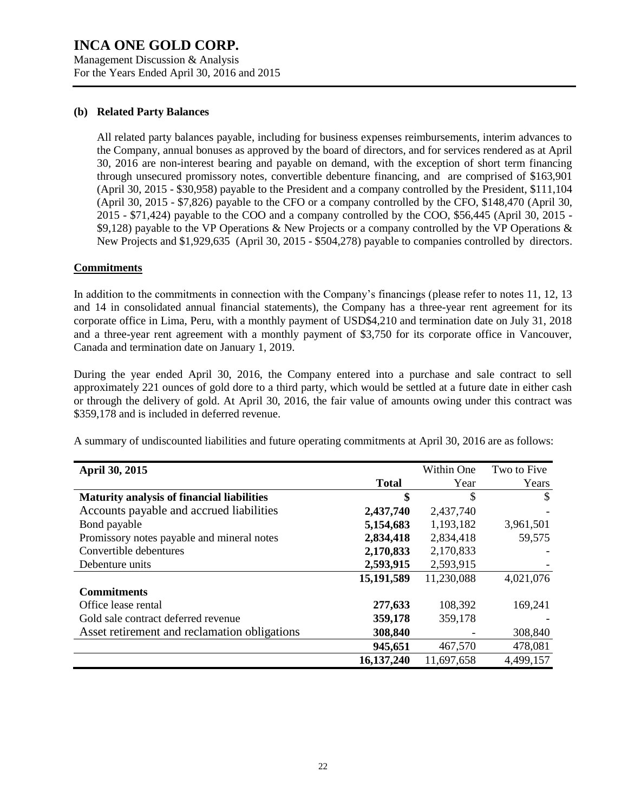Management Discussion & Analysis For the Years Ended April 30, 2016 and 2015

#### **(b) Related Party Balances**

All related party balances payable, including for business expenses reimbursements, interim advances to the Company, annual bonuses as approved by the board of directors, and for services rendered as at April 30, 2016 are non-interest bearing and payable on demand, with the exception of short term financing through unsecured promissory notes, convertible debenture financing, and are comprised of \$163,901 (April 30, 2015 - \$30,958) payable to the President and a company controlled by the President, \$111,104 (April 30, 2015 - \$7,826) payable to the CFO or a company controlled by the CFO, \$148,470 (April 30, 2015 - \$71,424) payable to the COO and a company controlled by the COO, \$56,445 (April 30, 2015 - \$9,128) payable to the VP Operations & New Projects or a company controlled by the VP Operations & New Projects and \$1,929,635 (April 30, 2015 - \$504,278) payable to companies controlled by directors.

### **Commitments**

In addition to the commitments in connection with the Company's financings (please refer to notes 11, 12, 13 and 14 in consolidated annual financial statements), the Company has a three-year rent agreement for its corporate office in Lima, Peru, with a monthly payment of USD\$4,210 and termination date on July 31, 2018 and a three-year rent agreement with a monthly payment of \$3,750 for its corporate office in Vancouver, Canada and termination date on January 1, 2019.

During the year ended April 30, 2016, the Company entered into a purchase and sale contract to sell approximately 221 ounces of gold dore to a third party, which would be settled at a future date in either cash or through the delivery of gold. At April 30, 2016, the fair value of amounts owing under this contract was \$359,178 and is included in deferred revenue.

A summary of undiscounted liabilities and future operating commitments at April 30, 2016 are as follows:

| <b>April 30, 2015</b>                             |              | Within One | Two to Five |
|---------------------------------------------------|--------------|------------|-------------|
|                                                   | <b>Total</b> | Year       | Years       |
| <b>Maturity analysis of financial liabilities</b> | \$           | \$         | \$.         |
| Accounts payable and accrued liabilities          | 2,437,740    | 2,437,740  |             |
| Bond payable                                      | 5,154,683    | 1,193,182  | 3,961,501   |
| Promissory notes payable and mineral notes        | 2,834,418    | 2,834,418  | 59,575      |
| Convertible debentures                            | 2,170,833    | 2,170,833  |             |
| Debenture units                                   | 2,593,915    | 2,593,915  |             |
|                                                   | 15,191,589   | 11,230,088 | 4,021,076   |
| <b>Commitments</b>                                |              |            |             |
| Office lease rental                               | 277,633      | 108,392    | 169,241     |
| Gold sale contract deferred revenue               | 359,178      | 359,178    |             |
| Asset retirement and reclamation obligations      | 308,840      |            | 308,840     |
|                                                   | 945,651      | 467,570    | 478,081     |
|                                                   | 16, 137, 240 | 11,697,658 | 4,499,157   |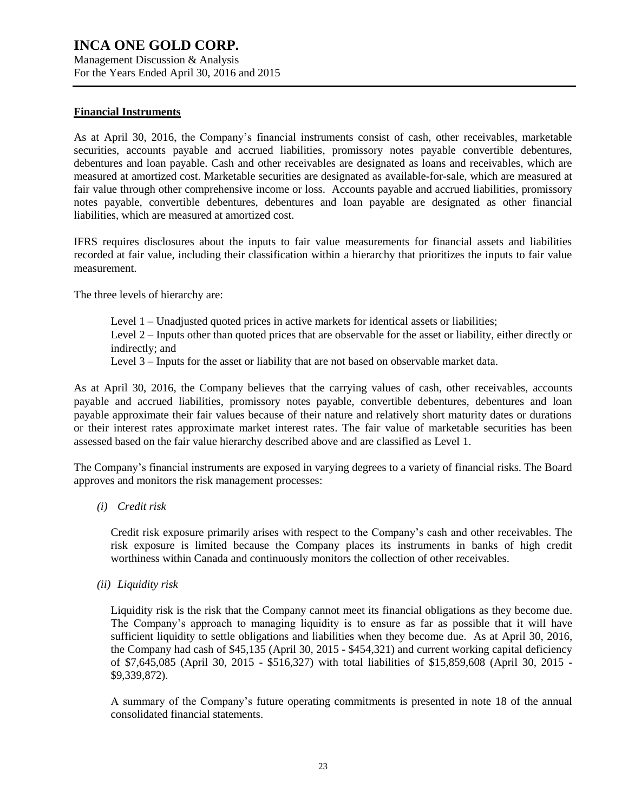Management Discussion & Analysis For the Years Ended April 30, 2016 and 2015

### **Financial Instruments**

As at April 30, 2016, the Company's financial instruments consist of cash, other receivables, marketable securities, accounts payable and accrued liabilities, promissory notes payable convertible debentures, debentures and loan payable. Cash and other receivables are designated as loans and receivables, which are measured at amortized cost. Marketable securities are designated as available-for-sale, which are measured at fair value through other comprehensive income or loss. Accounts payable and accrued liabilities, promissory notes payable, convertible debentures, debentures and loan payable are designated as other financial liabilities, which are measured at amortized cost.

IFRS requires disclosures about the inputs to fair value measurements for financial assets and liabilities recorded at fair value, including their classification within a hierarchy that prioritizes the inputs to fair value measurement.

The three levels of hierarchy are:

Level 1 – Unadjusted quoted prices in active markets for identical assets or liabilities;

Level 2 – Inputs other than quoted prices that are observable for the asset or liability, either directly or indirectly; and

Level 3 – Inputs for the asset or liability that are not based on observable market data.

As at April 30, 2016, the Company believes that the carrying values of cash, other receivables, accounts payable and accrued liabilities, promissory notes payable, convertible debentures, debentures and loan payable approximate their fair values because of their nature and relatively short maturity dates or durations or their interest rates approximate market interest rates. The fair value of marketable securities has been assessed based on the fair value hierarchy described above and are classified as Level 1.

The Company's financial instruments are exposed in varying degrees to a variety of financial risks. The Board approves and monitors the risk management processes:

*(i) Credit risk*

Credit risk exposure primarily arises with respect to the Company's cash and other receivables. The risk exposure is limited because the Company places its instruments in banks of high credit worthiness within Canada and continuously monitors the collection of other receivables.

*(ii) Liquidity risk*

Liquidity risk is the risk that the Company cannot meet its financial obligations as they become due. The Company's approach to managing liquidity is to ensure as far as possible that it will have sufficient liquidity to settle obligations and liabilities when they become due. As at April 30, 2016, the Company had cash of \$45,135 (April 30, 2015 - \$454,321) and current working capital deficiency of \$7,645,085 (April 30, 2015 - \$516,327) with total liabilities of \$15,859,608 (April 30, 2015 - \$9,339,872).

A summary of the Company's future operating commitments is presented in note 18 of the annual consolidated financial statements.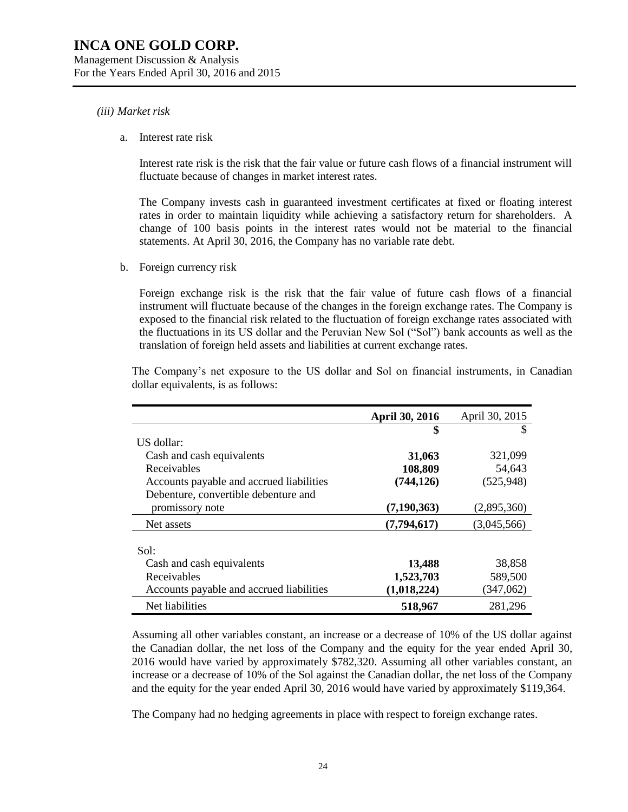#### *(iii) Market risk*

a. Interest rate risk

Interest rate risk is the risk that the fair value or future cash flows of a financial instrument will fluctuate because of changes in market interest rates.

The Company invests cash in guaranteed investment certificates at fixed or floating interest rates in order to maintain liquidity while achieving a satisfactory return for shareholders. A change of 100 basis points in the interest rates would not be material to the financial statements. At April 30, 2016, the Company has no variable rate debt.

b. Foreign currency risk

Foreign exchange risk is the risk that the fair value of future cash flows of a financial instrument will fluctuate because of the changes in the foreign exchange rates. The Company is exposed to the financial risk related to the fluctuation of foreign exchange rates associated with the fluctuations in its US dollar and the Peruvian New Sol ("Sol") bank accounts as well as the translation of foreign held assets and liabilities at current exchange rates.

|                                          | April 30, 2016 | April 30, 2015 |
|------------------------------------------|----------------|----------------|
|                                          | \$             |                |
| US dollar:                               |                |                |
| Cash and cash equivalents                | 31,063         | 321,099        |
| Receivables                              | 108,809        | 54,643         |
| Accounts payable and accrued liabilities | (744, 126)     | (525, 948)     |
| Debenture, convertible debenture and     |                |                |
| promissory note                          | (7, 190, 363)  | (2,895,360)    |
| Net assets                               | (7,794,617)    | (3,045,566)    |
|                                          |                |                |
| Sol:                                     |                |                |
| Cash and cash equivalents                | 13,488         | 38,858         |
| Receivables                              | 1,523,703      | 589,500        |
| Accounts payable and accrued liabilities | (1,018,224)    | (347,062)      |
| Net liabilities                          | 518,967        | 281,296        |

The Company's net exposure to the US dollar and Sol on financial instruments, in Canadian dollar equivalents, is as follows:

Assuming all other variables constant, an increase or a decrease of 10% of the US dollar against the Canadian dollar, the net loss of the Company and the equity for the year ended April 30, 2016 would have varied by approximately \$782,320. Assuming all other variables constant, an increase or a decrease of 10% of the Sol against the Canadian dollar, the net loss of the Company and the equity for the year ended April 30, 2016 would have varied by approximately \$119,364.

The Company had no hedging agreements in place with respect to foreign exchange rates.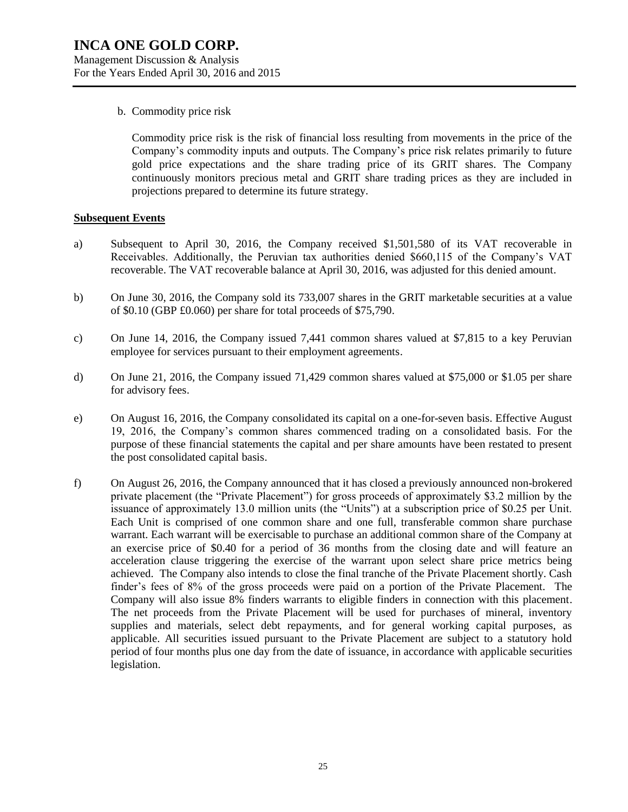b. Commodity price risk

Commodity price risk is the risk of financial loss resulting from movements in the price of the Company's commodity inputs and outputs. The Company's price risk relates primarily to future gold price expectations and the share trading price of its GRIT shares. The Company continuously monitors precious metal and GRIT share trading prices as they are included in projections prepared to determine its future strategy.

#### **Subsequent Events**

- a) Subsequent to April 30, 2016, the Company received \$1,501,580 of its VAT recoverable in Receivables. Additionally, the Peruvian tax authorities denied \$660,115 of the Company's VAT recoverable. The VAT recoverable balance at April 30, 2016, was adjusted for this denied amount.
- b) On June 30, 2016, the Company sold its 733,007 shares in the GRIT marketable securities at a value of \$0.10 (GBP £0.060) per share for total proceeds of \$75,790.
- c) On June 14, 2016, the Company issued 7,441 common shares valued at \$7,815 to a key Peruvian employee for services pursuant to their employment agreements.
- d) On June 21, 2016, the Company issued 71,429 common shares valued at \$75,000 or \$1.05 per share for advisory fees.
- e) On August 16, 2016, the Company consolidated its capital on a one-for-seven basis. Effective August 19, 2016, the Company's common shares commenced trading on a consolidated basis. For the purpose of these financial statements the capital and per share amounts have been restated to present the post consolidated capital basis.
- f) On August 26, 2016, the Company announced that it has closed a previously announced non-brokered private placement (the "Private Placement") for gross proceeds of approximately \$3.2 million by the issuance of approximately 13.0 million units (the "Units") at a subscription price of \$0.25 per Unit. Each Unit is comprised of one common share and one full, transferable common share purchase warrant. Each warrant will be exercisable to purchase an additional common share of the Company at an exercise price of \$0.40 for a period of 36 months from the closing date and will feature an acceleration clause triggering the exercise of the warrant upon select share price metrics being achieved. The Company also intends to close the final tranche of the Private Placement shortly. Cash finder's fees of 8% of the gross proceeds were paid on a portion of the Private Placement. The Company will also issue 8% finders warrants to eligible finders in connection with this placement. The net proceeds from the Private Placement will be used for purchases of mineral, inventory supplies and materials, select debt repayments, and for general working capital purposes, as applicable. All securities issued pursuant to the Private Placement are subject to a statutory hold period of four months plus one day from the date of issuance, in accordance with applicable securities legislation.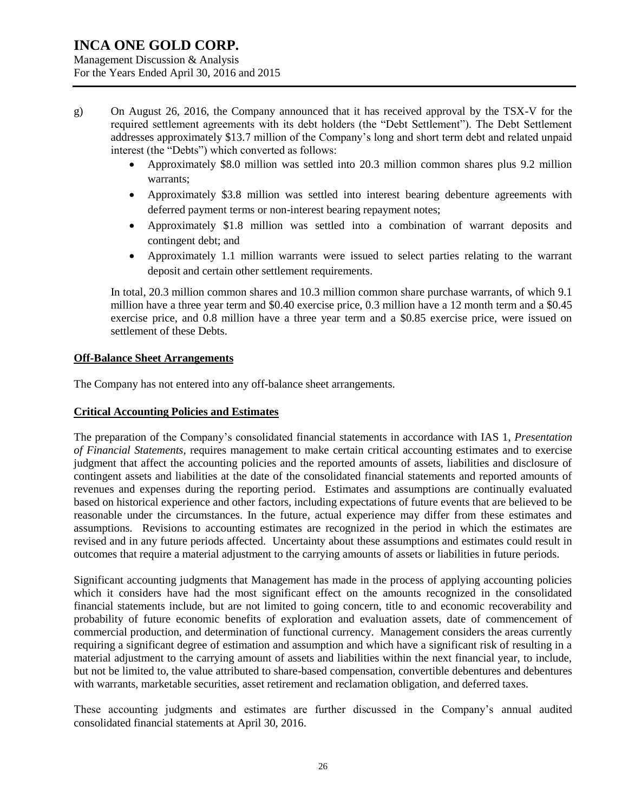Management Discussion & Analysis For the Years Ended April 30, 2016 and 2015

- g) On August 26, 2016, the Company announced that it has received approval by the TSX-V for the required settlement agreements with its debt holders (the "Debt Settlement"). The Debt Settlement addresses approximately \$13.7 million of the Company's long and short term debt and related unpaid interest (the "Debts") which converted as follows:
	- Approximately \$8.0 million was settled into 20.3 million common shares plus 9.2 million warrants;
	- Approximately \$3.8 million was settled into interest bearing debenture agreements with deferred payment terms or non-interest bearing repayment notes;
	- Approximately \$1.8 million was settled into a combination of warrant deposits and contingent debt; and
	- Approximately 1.1 million warrants were issued to select parties relating to the warrant deposit and certain other settlement requirements.

In total, 20.3 million common shares and 10.3 million common share purchase warrants, of which 9.1 million have a three year term and \$0.40 exercise price, 0.3 million have a 12 month term and a \$0.45 exercise price, and 0.8 million have a three year term and a \$0.85 exercise price, were issued on settlement of these Debts.

### **Off-Balance Sheet Arrangements**

The Company has not entered into any off-balance sheet arrangements.

### **Critical Accounting Policies and Estimates**

The preparation of the Company's consolidated financial statements in accordance with IAS 1, *Presentation of Financial Statements*, requires management to make certain critical accounting estimates and to exercise judgment that affect the accounting policies and the reported amounts of assets, liabilities and disclosure of contingent assets and liabilities at the date of the consolidated financial statements and reported amounts of revenues and expenses during the reporting period. Estimates and assumptions are continually evaluated based on historical experience and other factors, including expectations of future events that are believed to be reasonable under the circumstances. In the future, actual experience may differ from these estimates and assumptions. Revisions to accounting estimates are recognized in the period in which the estimates are revised and in any future periods affected. Uncertainty about these assumptions and estimates could result in outcomes that require a material adjustment to the carrying amounts of assets or liabilities in future periods.

Significant accounting judgments that Management has made in the process of applying accounting policies which it considers have had the most significant effect on the amounts recognized in the consolidated financial statements include, but are not limited to going concern, title to and economic recoverability and probability of future economic benefits of exploration and evaluation assets, date of commencement of commercial production, and determination of functional currency. Management considers the areas currently requiring a significant degree of estimation and assumption and which have a significant risk of resulting in a material adjustment to the carrying amount of assets and liabilities within the next financial year, to include, but not be limited to, the value attributed to share-based compensation, convertible debentures and debentures with warrants, marketable securities, asset retirement and reclamation obligation, and deferred taxes.

These accounting judgments and estimates are further discussed in the Company's annual audited consolidated financial statements at April 30, 2016.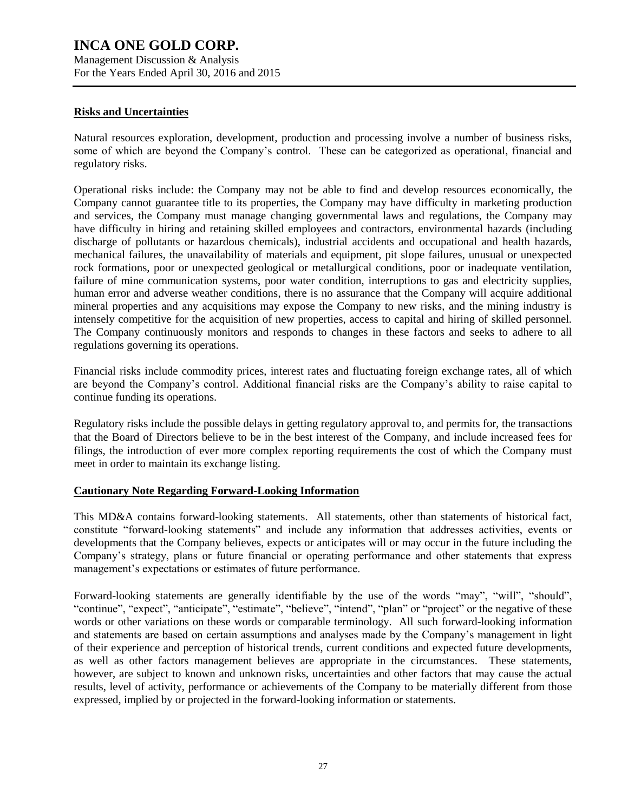Management Discussion & Analysis For the Years Ended April 30, 2016 and 2015

### **Risks and Uncertainties**

Natural resources exploration, development, production and processing involve a number of business risks, some of which are beyond the Company's control. These can be categorized as operational, financial and regulatory risks.

Operational risks include: the Company may not be able to find and develop resources economically, the Company cannot guarantee title to its properties, the Company may have difficulty in marketing production and services, the Company must manage changing governmental laws and regulations, the Company may have difficulty in hiring and retaining skilled employees and contractors, environmental hazards (including discharge of pollutants or hazardous chemicals), industrial accidents and occupational and health hazards, mechanical failures, the unavailability of materials and equipment, pit slope failures, unusual or unexpected rock formations, poor or unexpected geological or metallurgical conditions, poor or inadequate ventilation, failure of mine communication systems, poor water condition, interruptions to gas and electricity supplies, human error and adverse weather conditions, there is no assurance that the Company will acquire additional mineral properties and any acquisitions may expose the Company to new risks, and the mining industry is intensely competitive for the acquisition of new properties, access to capital and hiring of skilled personnel. The Company continuously monitors and responds to changes in these factors and seeks to adhere to all regulations governing its operations.

Financial risks include commodity prices, interest rates and fluctuating foreign exchange rates, all of which are beyond the Company's control. Additional financial risks are the Company's ability to raise capital to continue funding its operations.

Regulatory risks include the possible delays in getting regulatory approval to, and permits for, the transactions that the Board of Directors believe to be in the best interest of the Company, and include increased fees for filings, the introduction of ever more complex reporting requirements the cost of which the Company must meet in order to maintain its exchange listing.

### **Cautionary Note Regarding Forward-Looking Information**

This MD&A contains forward-looking statements. All statements, other than statements of historical fact, constitute "forward-looking statements" and include any information that addresses activities, events or developments that the Company believes, expects or anticipates will or may occur in the future including the Company's strategy, plans or future financial or operating performance and other statements that express management's expectations or estimates of future performance.

Forward-looking statements are generally identifiable by the use of the words "may", "will", "should", "continue", "expect", "anticipate", "estimate", "believe", "intend", "plan" or "project" or the negative of these words or other variations on these words or comparable terminology. All such forward-looking information and statements are based on certain assumptions and analyses made by the Company's management in light of their experience and perception of historical trends, current conditions and expected future developments, as well as other factors management believes are appropriate in the circumstances. These statements, however, are subject to known and unknown risks, uncertainties and other factors that may cause the actual results, level of activity, performance or achievements of the Company to be materially different from those expressed, implied by or projected in the forward-looking information or statements.